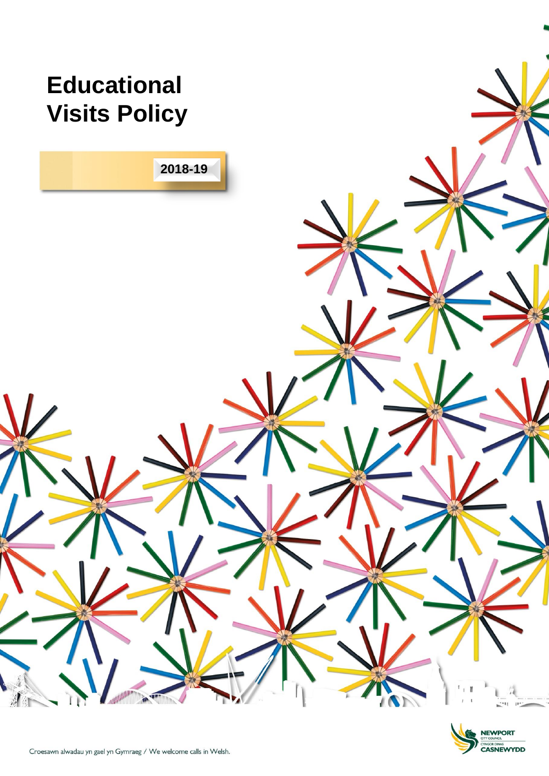

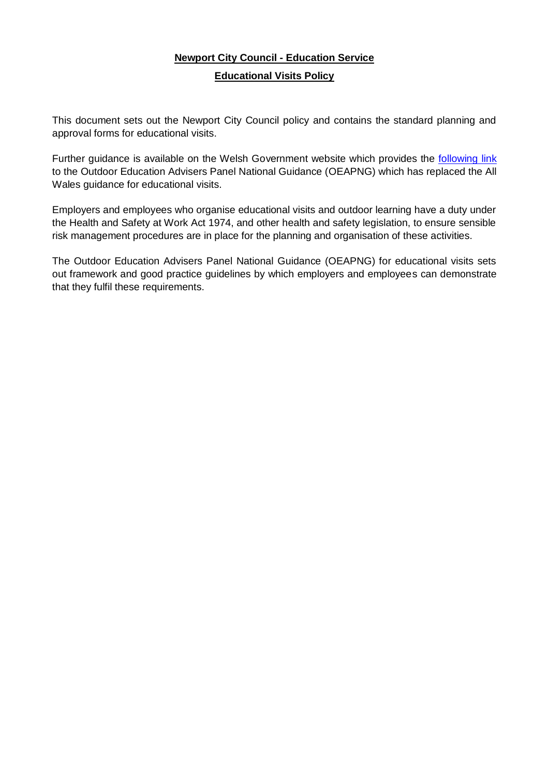# **Newport City Council - Education Service Educational Visits Policy**

This document sets out the Newport City Council policy and contains the standard planning and approval forms for educational visits.

Further guidance is available on the Welsh Government website which provides the [following link](http://wales.gov.uk/topics/educationandskills/allsectorpolicies/healthandsafety/educationalvisits/?lang=en) to the Outdoor Education Advisers Panel National Guidance (OEAPNG) which has replaced the All Wales guidance for educational visits.

Employers and employees who organise educational visits and outdoor learning have a duty under the Health and Safety at Work Act 1974, and other health and safety legislation, to ensure sensible risk management procedures are in place for the planning and organisation of these activities.

The Outdoor Education Advisers Panel National Guidance (OEAPNG) for educational visits sets out framework and good practice guidelines by which employers and employees can demonstrate that they fulfil these requirements.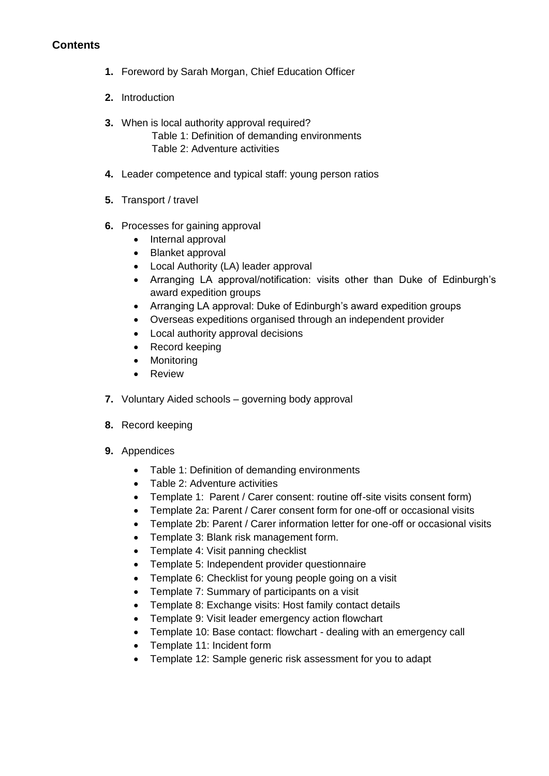# **Contents**

- **1.** Foreword by Sarah Morgan, Chief Education Officer
- **2.** Introduction
- **3.** When is local authority approval required? Table 1: Definition of demanding environments Table 2: Adventure activities
- **4.** Leader competence and typical staff: young person ratios
- **5.** Transport / travel
- **6.** Processes for gaining approval
	- Internal approval
	- Blanket approval
	- Local Authority (LA) leader approval
	- Arranging LA approval/notification: visits other than Duke of Edinburgh's award expedition groups
	- Arranging LA approval: Duke of Edinburgh's award expedition groups
	- Overseas expeditions organised through an independent provider
	- Local authority approval decisions
	- Record keeping
	- Monitoring
	- Review
- **7.** Voluntary Aided schools governing body approval
- **8.** Record keeping
- **9.** Appendices
	- Table 1: Definition of demanding environments
	- Table 2: Adventure activities
	- Template 1: Parent / Carer consent: routine off-site visits consent form)
	- Template 2a: Parent / Carer consent form for one-off or occasional visits
	- Template 2b: Parent / Carer information letter for one-off or occasional visits
	- Template 3: Blank risk management form.
	- Template 4: Visit panning checklist
	- Template 5: Independent provider questionnaire
	- Template 6: Checklist for young people going on a visit
	- Template 7: Summary of participants on a visit
	- Template 8: Exchange visits: Host family contact details
	- Template 9: Visit leader emergency action flowchart
	- Template 10: Base contact: flowchart dealing with an emergency call
	- Template 11: Incident form
	- Template 12: Sample generic risk assessment for you to adapt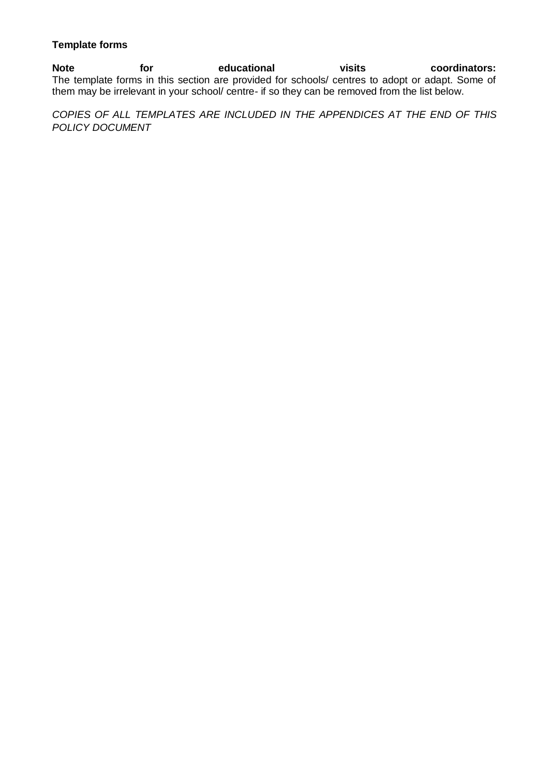#### **Template forms**

Note for educational visits coordinators: The template forms in this section are provided for schools/ centres to adopt or adapt. Some of them may be irrelevant in your school/ centre- if so they can be removed from the list below.

*COPIES OF ALL TEMPLATES ARE INCLUDED IN THE APPENDICES AT THE END OF THIS POLICY DOCUMENT*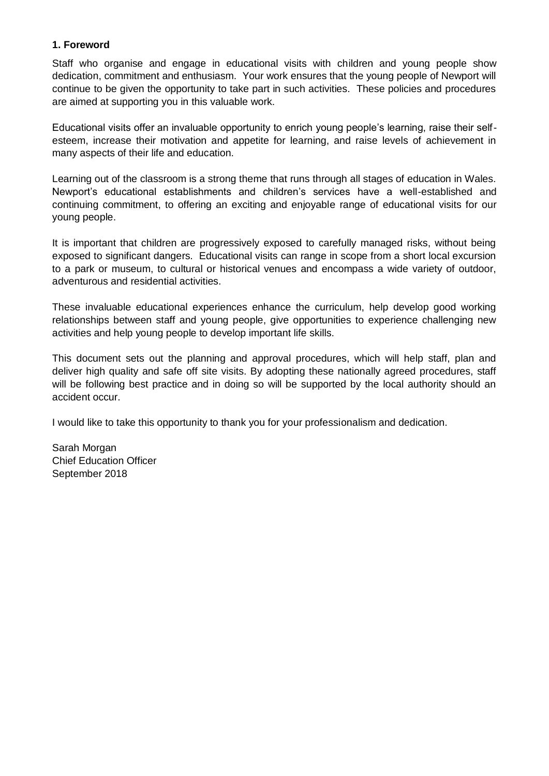#### **1. Foreword**

Staff who organise and engage in educational visits with children and young people show dedication, commitment and enthusiasm. Your work ensures that the young people of Newport will continue to be given the opportunity to take part in such activities. These policies and procedures are aimed at supporting you in this valuable work.

Educational visits offer an invaluable opportunity to enrich young people's learning, raise their selfesteem, increase their motivation and appetite for learning, and raise levels of achievement in many aspects of their life and education.

Learning out of the classroom is a strong theme that runs through all stages of education in Wales. Newport's educational establishments and children's services have a well-established and continuing commitment, to offering an exciting and enjoyable range of educational visits for our young people.

It is important that children are progressively exposed to carefully managed risks, without being exposed to significant dangers. Educational visits can range in scope from a short local excursion to a park or museum, to cultural or historical venues and encompass a wide variety of outdoor, adventurous and residential activities.

These invaluable educational experiences enhance the curriculum, help develop good working relationships between staff and young people, give opportunities to experience challenging new activities and help young people to develop important life skills.

This document sets out the planning and approval procedures, which will help staff, plan and deliver high quality and safe off site visits. By adopting these nationally agreed procedures, staff will be following best practice and in doing so will be supported by the local authority should an accident occur.

I would like to take this opportunity to thank you for your professionalism and dedication.

Sarah Morgan Chief Education Officer September 2018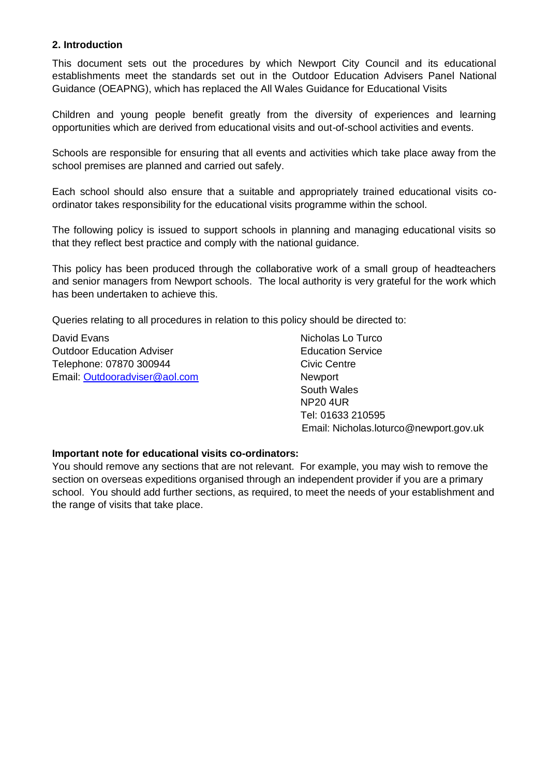#### **2. Introduction**

This document sets out the procedures by which Newport City Council and its educational establishments meet the standards set out in the Outdoor Education Advisers Panel National Guidance (OEAPNG), which has replaced the All Wales Guidance for Educational Visits

Children and young people benefit greatly from the diversity of experiences and learning opportunities which are derived from educational visits and out-of-school activities and events.

Schools are responsible for ensuring that all events and activities which take place away from the school premises are planned and carried out safely.

Each school should also ensure that a suitable and appropriately trained educational visits coordinator takes responsibility for the educational visits programme within the school.

The following policy is issued to support schools in planning and managing educational visits so that they reflect best practice and comply with the national guidance*.*

This policy has been produced through the collaborative work of a small group of headteachers and senior managers from Newport schools. The local authority is very grateful for the work which has been undertaken to achieve this.

Queries relating to all procedures in relation to this policy should be directed to:

David Evans Nicholas Lo Turco Nicholas Lo Turco **Outdoor Education Adviser Contract Contract Education Service** Telephone: 07870 300944 Civic Centre Email: [Outdooradviser@aol.com](mailto:Outdooradviser@aol.com) Newport

 South Wales NP20 4UR Tel: 01633 210595 Email: Nicholas.loturco@newport.gov.uk

#### **Important note for educational visits co-ordinators:**

You should remove any sections that are not relevant. For example, you may wish to remove the section on overseas expeditions organised through an independent provider if you are a primary school. You should add further sections, as required, to meet the needs of your establishment and the range of visits that take place.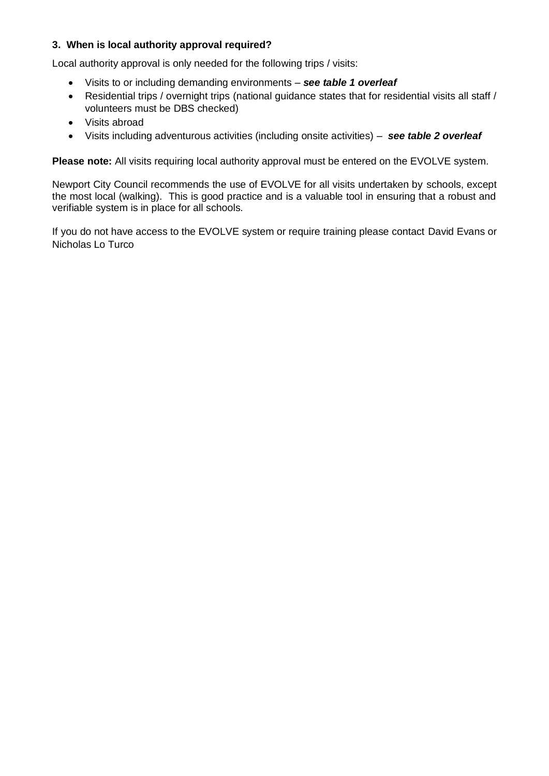# **3. When is local authority approval required?**

Local authority approval is only needed for the following trips / visits:

- Visits to or including demanding environments *see table 1 overleaf*
- Residential trips / overnight trips (national guidance states that for residential visits all staff / volunteers must be DBS checked)
- Visits abroad
- Visits including adventurous activities (including onsite activities) *see table 2 overleaf*

**Please note:** All visits requiring local authority approval must be entered on the EVOLVE system.

Newport City Council recommends the use of EVOLVE for all visits undertaken by schools, except the most local (walking). This is good practice and is a valuable tool in ensuring that a robust and verifiable system is in place for all schools.

If you do not have access to the EVOLVE system or require training please contact David Evans or Nicholas Lo Turco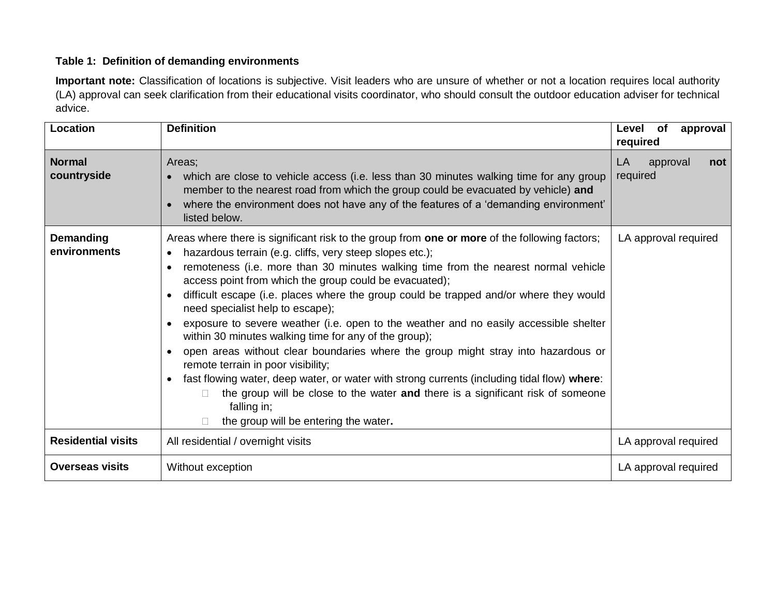# **Table 1: Definition of demanding environments**

**Important note:** Classification of locations is subjective. Visit leaders who are unsure of whether or not a location requires local authority (LA) approval can seek clarification from their educational visits coordinator, who should consult the outdoor education adviser for technical advice.

| Location                         | <b>Definition</b>                                                                                                                                                                                                                                                                                                                                                                                                                                                                                                                                                                                                                                                                                                                                                                                                                                                                                                                                                                                                                            | Level of<br>approval<br>required  |
|----------------------------------|----------------------------------------------------------------------------------------------------------------------------------------------------------------------------------------------------------------------------------------------------------------------------------------------------------------------------------------------------------------------------------------------------------------------------------------------------------------------------------------------------------------------------------------------------------------------------------------------------------------------------------------------------------------------------------------------------------------------------------------------------------------------------------------------------------------------------------------------------------------------------------------------------------------------------------------------------------------------------------------------------------------------------------------------|-----------------------------------|
| <b>Normal</b><br>countryside     | Areas;<br>which are close to vehicle access (i.e. less than 30 minutes walking time for any group<br>$\bullet$<br>member to the nearest road from which the group could be evacuated by vehicle) and<br>where the environment does not have any of the features of a 'demanding environment'<br>$\bullet$<br>listed below.                                                                                                                                                                                                                                                                                                                                                                                                                                                                                                                                                                                                                                                                                                                   | LA<br>approval<br>not<br>required |
| <b>Demanding</b><br>environments | Areas where there is significant risk to the group from one or more of the following factors;<br>hazardous terrain (e.g. cliffs, very steep slopes etc.);<br>$\bullet$<br>remoteness (i.e. more than 30 minutes walking time from the nearest normal vehicle<br>$\bullet$<br>access point from which the group could be evacuated);<br>difficult escape (i.e. places where the group could be trapped and/or where they would<br>$\bullet$<br>need specialist help to escape);<br>exposure to severe weather (i.e. open to the weather and no easily accessible shelter<br>$\bullet$<br>within 30 minutes walking time for any of the group);<br>open areas without clear boundaries where the group might stray into hazardous or<br>$\bullet$<br>remote terrain in poor visibility;<br>fast flowing water, deep water, or water with strong currents (including tidal flow) where:<br>$\bullet$<br>the group will be close to the water and there is a significant risk of someone<br>falling in;<br>the group will be entering the water. | LA approval required              |
| <b>Residential visits</b>        | All residential / overnight visits                                                                                                                                                                                                                                                                                                                                                                                                                                                                                                                                                                                                                                                                                                                                                                                                                                                                                                                                                                                                           | LA approval required              |
| <b>Overseas visits</b>           | Without exception                                                                                                                                                                                                                                                                                                                                                                                                                                                                                                                                                                                                                                                                                                                                                                                                                                                                                                                                                                                                                            | LA approval required              |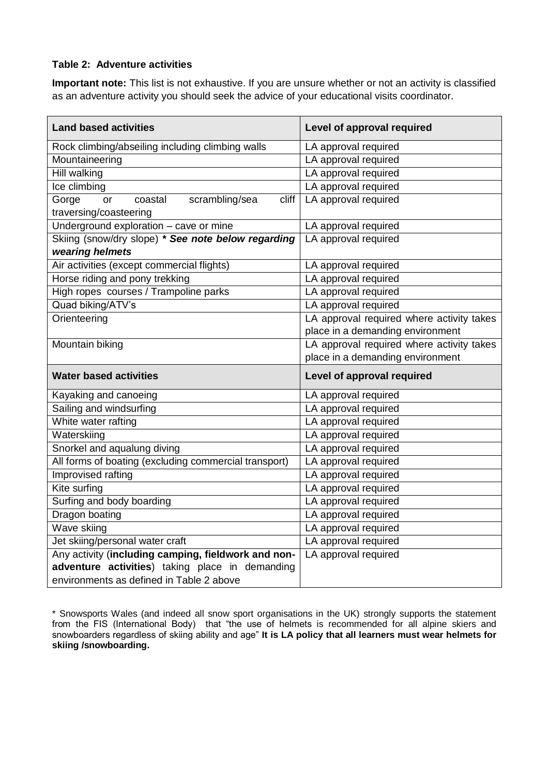#### **Table 2: Adventure activities**

**Important note:** This list is not exhaustive. If you are unsure whether or not an activity is classified as an adventure activity you should seek the advice of your educational visits coordinator.

| <b>Land based activities</b>                                                | Level of approval required                |
|-----------------------------------------------------------------------------|-------------------------------------------|
| Rock climbing/abseiling including climbing walls                            | LA approval required                      |
| Mountaineering                                                              | LA approval required                      |
| Hill walking                                                                | LA approval required                      |
| Ice climbing                                                                | LA approval required                      |
| Gorge<br>scrambling/sea<br>cliff<br>coastal<br>or<br>traversing/coasteering | LA approval required                      |
| Underground exploration - cave or mine                                      | LA approval required                      |
| Skiing (snow/dry slope) * See note below regarding                          | LA approval required                      |
| wearing helmets                                                             |                                           |
| Air activities (except commercial flights)                                  | LA approval required                      |
| Horse riding and pony trekking                                              | LA approval required                      |
| High ropes courses / Trampoline parks                                       | LA approval required                      |
| Quad biking/ATV's                                                           | LA approval required                      |
| Orienteering                                                                | LA approval required where activity takes |
|                                                                             | place in a demanding environment          |
| Mountain biking                                                             | LA approval required where activity takes |
|                                                                             | place in a demanding environment          |
| <b>Water based activities</b>                                               | Level of approval required                |
| Kayaking and canoeing                                                       | LA approval required                      |
| Sailing and windsurfing                                                     | LA approval required                      |
| White water rafting                                                         | LA approval required                      |
| Waterskiing                                                                 | LA approval required                      |
| Snorkel and aqualung diving                                                 | LA approval required                      |
| All forms of boating (excluding commercial transport)                       | LA approval required                      |
| Improvised rafting                                                          | LA approval required                      |
| Kite surfing                                                                | LA approval required                      |
| Surfing and body boarding                                                   | LA approval required                      |
| Dragon boating                                                              | LA approval required                      |
| Wave skiing                                                                 | LA approval required                      |
| Jet skiing/personal water craft                                             | LA approval required                      |
| Any activity (including camping, fieldwork and non-                         | LA approval required                      |
| adventure activities) taking place in demanding                             |                                           |
| environments as defined in Table 2 above                                    |                                           |

\* Snowsports Wales (and indeed all snow sport organisations in the UK) strongly supports the statement from the FIS (International Body) that "the use of helmets is recommended for all alpine skiers and snowboarders regardless of skiing ability and age" **It is LA policy that all learners must wear helmets for skiing /snowboarding.**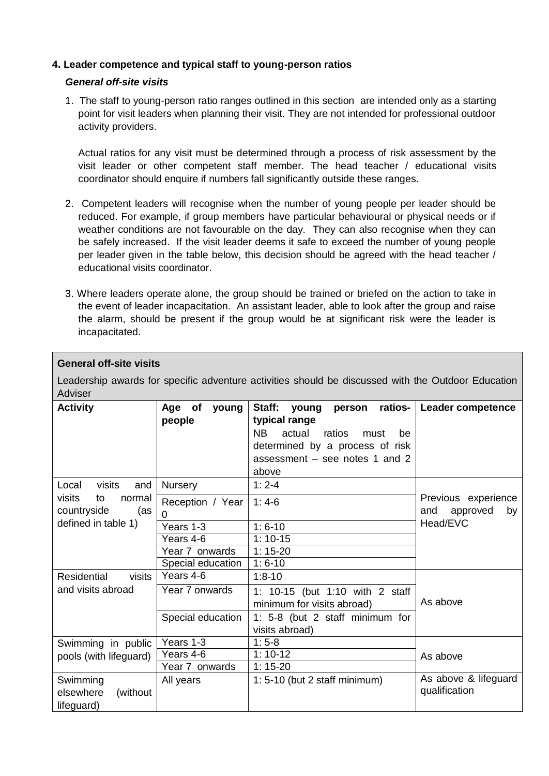## **4. Leader competence and typical staff to young-person ratios**

#### *General off-site visits*

1. The staff to young-person ratio ranges outlined in this section are intended only as a starting point for visit leaders when planning their visit. They are not intended for professional outdoor activity providers.

Actual ratios for any visit must be determined through a process of risk assessment by the visit leader or other competent staff member. The head teacher / educational visits coordinator should enquire if numbers fall significantly outside these ranges.

- 2. Competent leaders will recognise when the number of young people per leader should be reduced. For example, if group members have particular behavioural or physical needs or if weather conditions are not favourable on the day. They can also recognise when they can be safely increased. If the visit leader deems it safe to exceed the number of young people per leader given in the table below, this decision should be agreed with the head teacher / educational visits coordinator.
- 3. Where leaders operate alone, the group should be trained or briefed on the action to take in the event of leader incapacitation. An assistant leader, able to look after the group and raise the alarm, should be present if the group would be at significant risk were the leader is incapacitated.

| <b>General off-site visits</b>                                                                |                                                                                     |                                                                                                                                                                                    |                                                          |
|-----------------------------------------------------------------------------------------------|-------------------------------------------------------------------------------------|------------------------------------------------------------------------------------------------------------------------------------------------------------------------------------|----------------------------------------------------------|
| Adviser                                                                                       |                                                                                     | Leadership awards for specific adventure activities should be discussed with the Outdoor Education                                                                                 |                                                          |
| <b>Activity</b>                                                                               | of<br>young<br>Age<br>people                                                        | Staff:<br>ratios-<br>young<br>person<br>typical range<br><b>NB</b><br>actual<br>ratios<br>must<br>be<br>determined by a process of risk<br>assessment – see notes 1 and 2<br>above | Leader competence                                        |
| Local<br>visits<br>and<br>visits<br>normal<br>to<br>countryside<br>(as<br>defined in table 1) | <b>Nursery</b><br>Reception / Year<br>0<br>Years 1-3<br>Years 4-6<br>Year 7 onwards | $1:2-4$<br>$1:4-6$<br>$1:6-10$<br>$1:10-15$<br>$1:15-20$                                                                                                                           | Previous experience<br>approved<br>and<br>by<br>Head/EVC |
| Residential<br>visits<br>and visits abroad                                                    | Special education<br>Years 4-6<br>Year 7 onwards<br>Special education               | $1:6-10$<br>$1:8 - 10$<br>1: 10-15 (but 1:10 with 2 staff<br>minimum for visits abroad)<br>1: 5-8 (but 2 staff minimum for<br>visits abroad)                                       | As above                                                 |
| Swimming in public<br>pools (with lifeguard)<br>Swimming                                      | Years 1-3<br>Years 4-6<br>Year 7 onwards<br>All years                               | $1:5-8$<br>$1:10-12$<br>$1:15-20$<br>$1: 5-10$ (but 2 staff minimum)                                                                                                               | As above<br>As above & lifeguard                         |
| elsewhere<br>(without<br>lifeguard)                                                           |                                                                                     |                                                                                                                                                                                    | qualification                                            |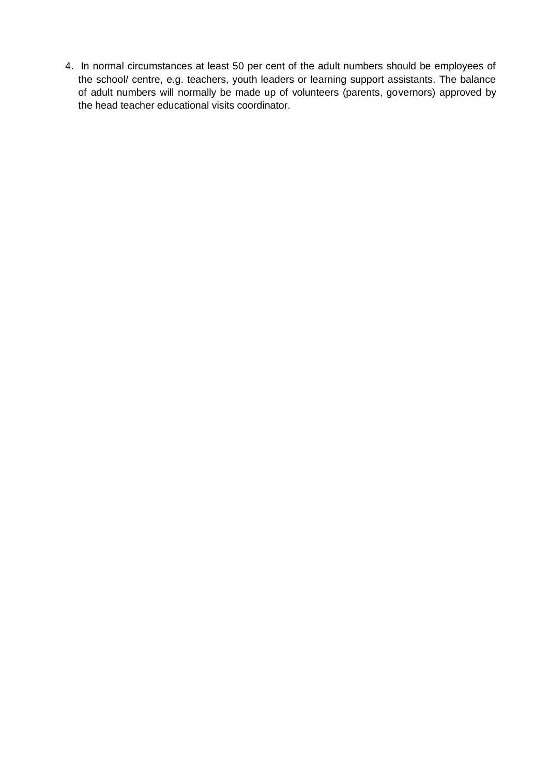4. In normal circumstances at least 50 per cent of the adult numbers should be employees of the school/ centre, e.g. teachers, youth leaders or learning support assistants. The balance of adult numbers will normally be made up of volunteers (parents, governors) approved by the head teacher educational visits coordinator.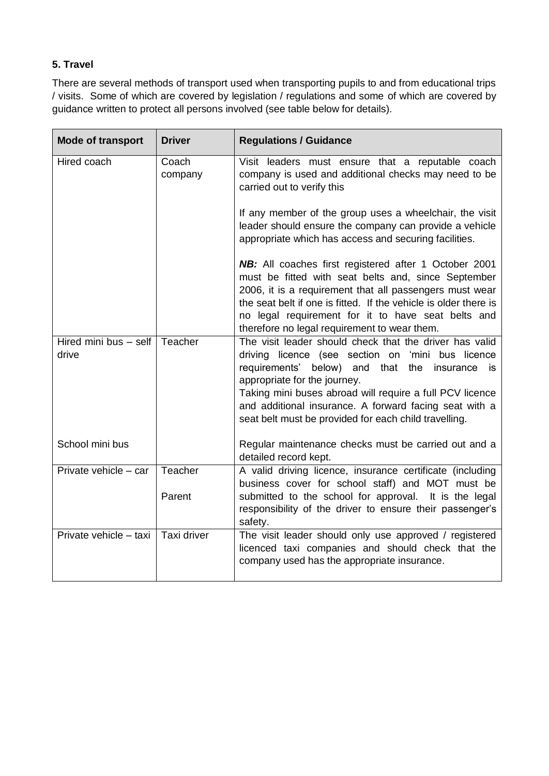# **5. Travel**

There are several methods of transport used when transporting pupils to and from educational trips / visits. Some of which are covered by legislation / regulations and some of which are covered by guidance written to protect all persons involved (see table below for details).

| <b>Mode of transport</b>       | <b>Driver</b>    | <b>Regulations / Guidance</b>                                                                                                                                                                                                                                                                                                                                                    |
|--------------------------------|------------------|----------------------------------------------------------------------------------------------------------------------------------------------------------------------------------------------------------------------------------------------------------------------------------------------------------------------------------------------------------------------------------|
| Hired coach                    | Coach<br>company | Visit leaders must ensure that a reputable coach<br>company is used and additional checks may need to be<br>carried out to verify this                                                                                                                                                                                                                                           |
|                                |                  | If any member of the group uses a wheelchair, the visit<br>leader should ensure the company can provide a vehicle<br>appropriate which has access and securing facilities.                                                                                                                                                                                                       |
|                                |                  | <b>NB:</b> All coaches first registered after 1 October 2001<br>must be fitted with seat belts and, since September<br>2006, it is a requirement that all passengers must wear<br>the seat belt if one is fitted. If the vehicle is older there is<br>no legal requirement for it to have seat belts and<br>therefore no legal requirement to wear them.                         |
| Hired mini bus - self<br>drive | Teacher          | The visit leader should check that the driver has valid<br>driving licence (see section on 'mini bus licence<br>requirements' below) and that the insurance<br>is<br>appropriate for the journey.<br>Taking mini buses abroad will require a full PCV licence<br>and additional insurance. A forward facing seat with a<br>seat belt must be provided for each child travelling. |
| School mini bus                |                  | Regular maintenance checks must be carried out and a<br>detailed record kept.                                                                                                                                                                                                                                                                                                    |
| Private vehicle - car          | Teacher          | A valid driving licence, insurance certificate (including<br>business cover for school staff) and MOT must be                                                                                                                                                                                                                                                                    |
|                                | Parent           | submitted to the school for approval. It is the legal<br>responsibility of the driver to ensure their passenger's<br>safety.                                                                                                                                                                                                                                                     |
| Private vehicle - taxi         | Taxi driver      | The visit leader should only use approved / registered<br>licenced taxi companies and should check that the<br>company used has the appropriate insurance.                                                                                                                                                                                                                       |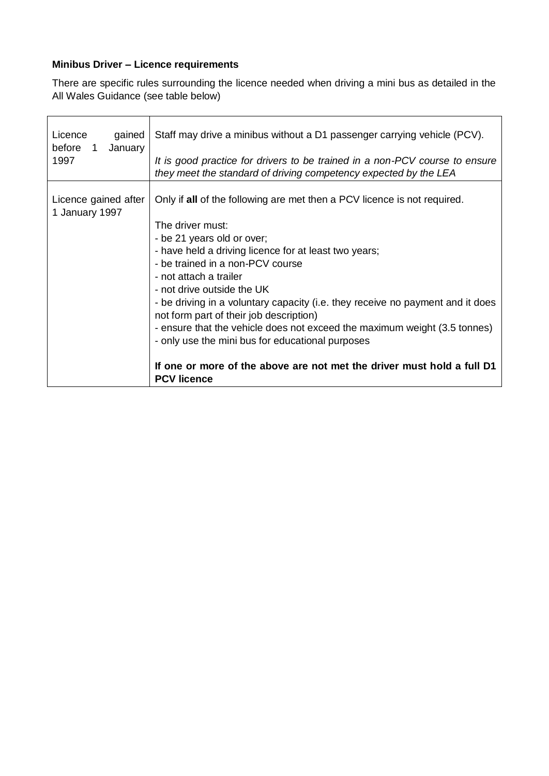# **Minibus Driver – Licence requirements**

There are specific rules surrounding the licence needed when driving a mini bus as detailed in the All Wales Guidance (see table below)

| Licence<br>gained<br>before 1<br>January<br>1997 | Staff may drive a minibus without a D1 passenger carrying vehicle (PCV).<br>It is good practice for drivers to be trained in a non-PCV course to ensure<br>they meet the standard of driving competency expected by the LEA                                                                                                                                                                                                                                                                                                                                                                                                                   |
|--------------------------------------------------|-----------------------------------------------------------------------------------------------------------------------------------------------------------------------------------------------------------------------------------------------------------------------------------------------------------------------------------------------------------------------------------------------------------------------------------------------------------------------------------------------------------------------------------------------------------------------------------------------------------------------------------------------|
| Licence gained after<br>1 January 1997           | Only if all of the following are met then a PCV licence is not required.<br>The driver must:<br>- be 21 years old or over;<br>- have held a driving licence for at least two years;<br>- be trained in a non-PCV course<br>- not attach a trailer<br>- not drive outside the UK<br>- be driving in a voluntary capacity (i.e. they receive no payment and it does<br>not form part of their job description)<br>- ensure that the vehicle does not exceed the maximum weight (3.5 tonnes)<br>- only use the mini bus for educational purposes<br>If one or more of the above are not met the driver must hold a full D1<br><b>PCV licence</b> |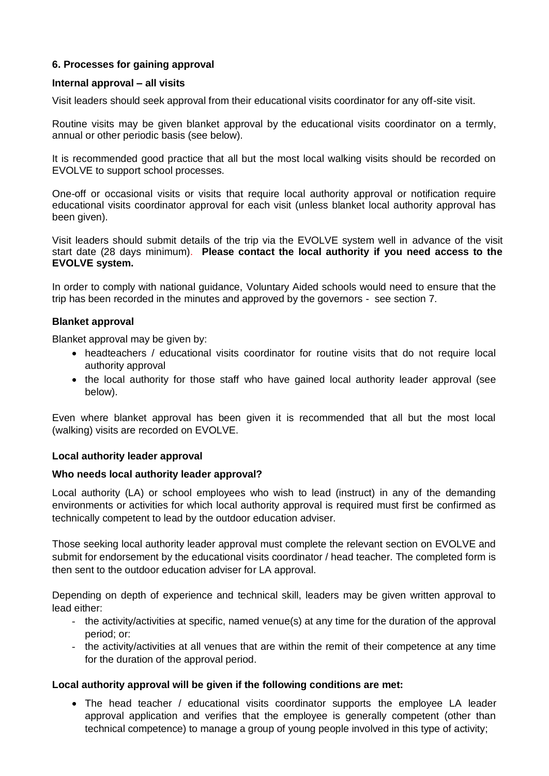# **6. Processes for gaining approval**

#### **Internal approval – all visits**

Visit leaders should seek approval from their educational visits coordinator for any off-site visit.

Routine visits may be given blanket approval by the educational visits coordinator on a termly, annual or other periodic basis (see below).

It is recommended good practice that all but the most local walking visits should be recorded on EVOLVE to support school processes.

One-off or occasional visits or visits that require local authority approval or notification require educational visits coordinator approval for each visit (unless blanket local authority approval has been given).

Visit leaders should submit details of the trip via the EVOLVE system well in advance of the visit start date (28 days minimum). **Please contact the local authority if you need access to the EVOLVE system.**

In order to comply with national guidance, Voluntary Aided schools would need to ensure that the trip has been recorded in the minutes and approved by the governors - see section 7.

#### **Blanket approval**

Blanket approval may be given by:

- headteachers / educational visits coordinator for routine visits that do not require local authority approval
- the local authority for those staff who have gained local authority leader approval (see below).

Even where blanket approval has been given it is recommended that all but the most local (walking) visits are recorded on EVOLVE.

#### **Local authority leader approval**

#### **Who needs local authority leader approval?**

Local authority (LA) or school employees who wish to lead (instruct) in any of the demanding environments or activities for which local authority approval is required must first be confirmed as technically competent to lead by the outdoor education adviser.

Those seeking local authority leader approval must complete the relevant section on EVOLVE and submit for endorsement by the educational visits coordinator / head teacher. The completed form is then sent to the outdoor education adviser for LA approval.

Depending on depth of experience and technical skill, leaders may be given written approval to lead either:

- the activity/activities at specific, named venue(s) at any time for the duration of the approval period; or:
- the activity/activities at all venues that are within the remit of their competence at any time for the duration of the approval period.

#### **Local authority approval will be given if the following conditions are met:**

• The head teacher / educational visits coordinator supports the employee LA leader approval application and verifies that the employee is generally competent (other than technical competence) to manage a group of young people involved in this type of activity;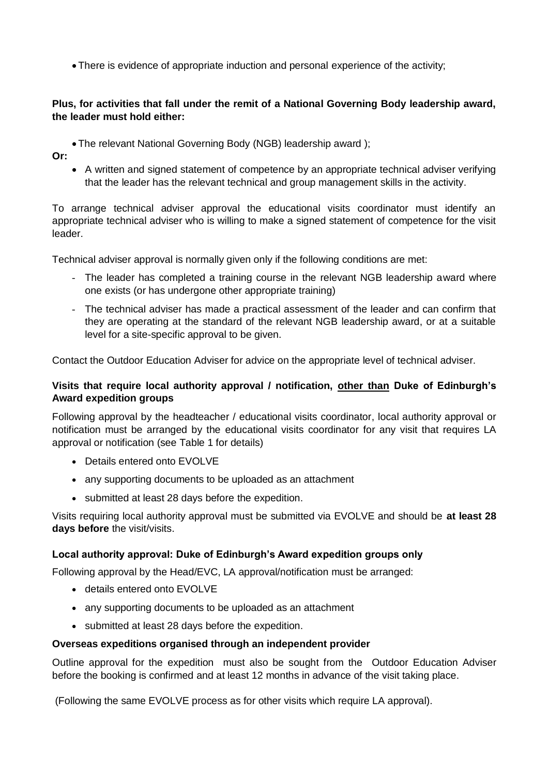There is evidence of appropriate induction and personal experience of the activity;

### **Plus, for activities that fall under the remit of a National Governing Body leadership award, the leader must hold either:**

The relevant National Governing Body (NGB) leadership award );

**Or:** 

 A written and signed statement of competence by an appropriate technical adviser verifying that the leader has the relevant technical and group management skills in the activity.

To arrange technical adviser approval the educational visits coordinator must identify an appropriate technical adviser who is willing to make a signed statement of competence for the visit leader.

Technical adviser approval is normally given only if the following conditions are met:

- The leader has completed a training course in the relevant NGB leadership award where one exists (or has undergone other appropriate training)
- The technical adviser has made a practical assessment of the leader and can confirm that they are operating at the standard of the relevant NGB leadership award, or at a suitable level for a site-specific approval to be given.

Contact the Outdoor Education Adviser for advice on the appropriate level of technical adviser.

# **Visits that require local authority approval / notification, other than Duke of Edinburgh's Award expedition groups**

Following approval by the headteacher / educational visits coordinator, local authority approval or notification must be arranged by the educational visits coordinator for any visit that requires LA approval or notification (see Table 1 for details)

- Details entered onto EVOLVE
- any supporting documents to be uploaded as an attachment
- submitted at least 28 days before the expedition.

Visits requiring local authority approval must be submitted via EVOLVE and should be **at least 28 days before** the visit/visits.

# **Local authority approval: Duke of Edinburgh's Award expedition groups only**

Following approval by the Head/EVC, LA approval/notification must be arranged:

- details entered onto EVOLVE
- any supporting documents to be uploaded as an attachment
- submitted at least 28 days before the expedition.

#### **Overseas expeditions organised through an independent provider**

Outline approval for the expedition must also be sought from the Outdoor Education Adviser before the booking is confirmed and at least 12 months in advance of the visit taking place.

(Following the same EVOLVE process as for other visits which require LA approval).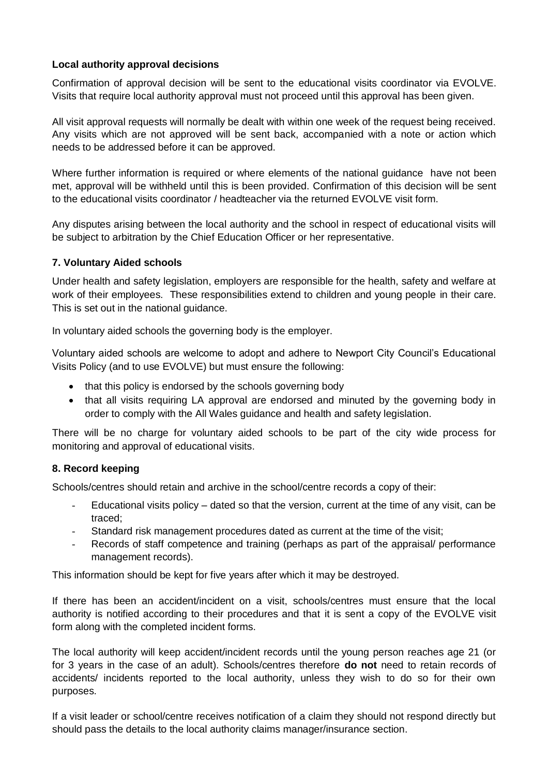## **Local authority approval decisions**

Confirmation of approval decision will be sent to the educational visits coordinator via EVOLVE. Visits that require local authority approval must not proceed until this approval has been given.

All visit approval requests will normally be dealt with within one week of the request being received. Any visits which are not approved will be sent back, accompanied with a note or action which needs to be addressed before it can be approved.

Where further information is required or where elements of the national guidance have not been met, approval will be withheld until this is been provided. Confirmation of this decision will be sent to the educational visits coordinator / headteacher via the returned EVOLVE visit form.

Any disputes arising between the local authority and the school in respect of educational visits will be subject to arbitration by the Chief Education Officer or her representative.

#### **7. Voluntary Aided schools**

Under health and safety legislation, employers are responsible for the health, safety and welfare at work of their employees. These responsibilities extend to children and young people in their care. This is set out in the national guidance.

In voluntary aided schools the governing body is the employer.

Voluntary aided schools are welcome to adopt and adhere to Newport City Council's Educational Visits Policy (and to use EVOLVE) but must ensure the following:

- that this policy is endorsed by the schools governing body
- that all visits requiring LA approval are endorsed and minuted by the governing body in order to comply with the All Wales guidance and health and safety legislation.

There will be no charge for voluntary aided schools to be part of the city wide process for monitoring and approval of educational visits.

#### **8. Record keeping**

Schools/centres should retain and archive in the school/centre records a copy of their:

- Educational visits policy dated so that the version, current at the time of any visit, can be traced;
- Standard risk management procedures dated as current at the time of the visit;
- Records of staff competence and training (perhaps as part of the appraisal/ performance management records).

This information should be kept for five years after which it may be destroyed.

If there has been an accident/incident on a visit, schools/centres must ensure that the local authority is notified according to their procedures and that it is sent a copy of the EVOLVE visit form along with the completed incident forms.

The local authority will keep accident/incident records until the young person reaches age 21 (or for 3 years in the case of an adult). Schools/centres therefore **do not** need to retain records of accidents/ incidents reported to the local authority, unless they wish to do so for their own purposes.

If a visit leader or school/centre receives notification of a claim they should not respond directly but should pass the details to the local authority claims manager/insurance section.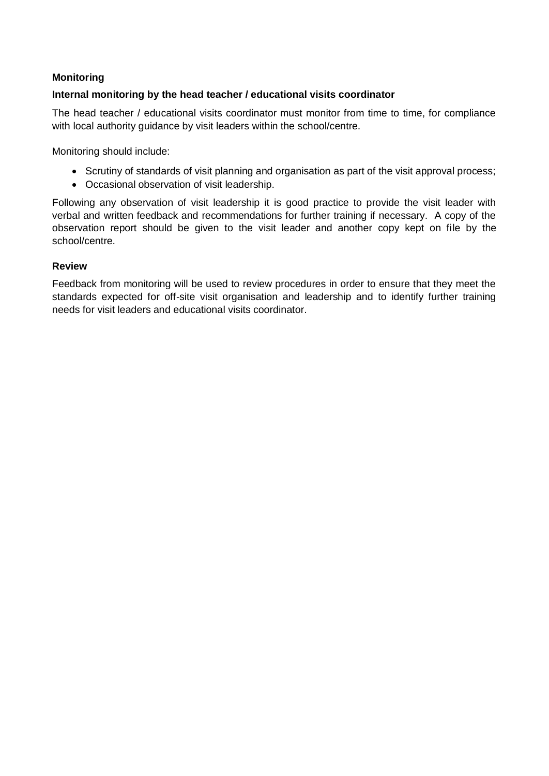### **Monitoring**

#### **Internal monitoring by the head teacher / educational visits coordinator**

The head teacher / educational visits coordinator must monitor from time to time, for compliance with local authority guidance by visit leaders within the school/centre.

Monitoring should include:

- Scrutiny of standards of visit planning and organisation as part of the visit approval process;
- Occasional observation of visit leadership.

Following any observation of visit leadership it is good practice to provide the visit leader with verbal and written feedback and recommendations for further training if necessary. A copy of the observation report should be given to the visit leader and another copy kept on file by the school/centre.

#### **Review**

Feedback from monitoring will be used to review procedures in order to ensure that they meet the standards expected for off-site visit organisation and leadership and to identify further training needs for visit leaders and educational visits coordinator.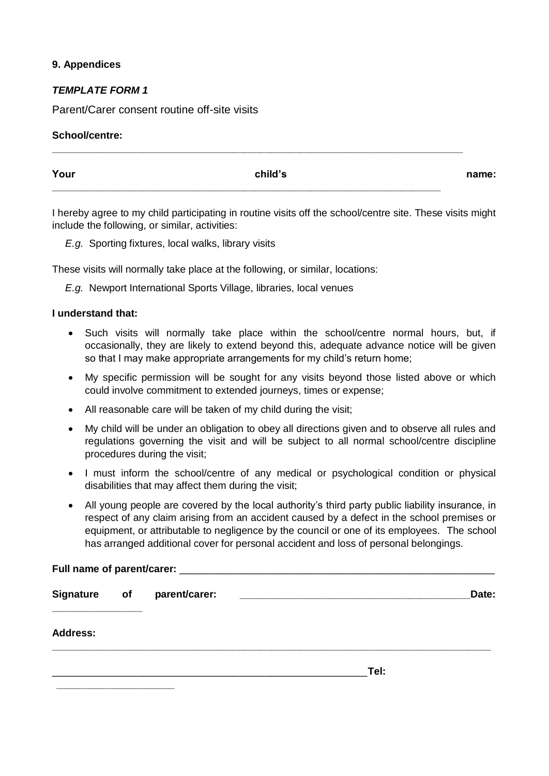#### **9. Appendices**

### *TEMPLATE FORM 1*

Parent/Carer consent routine off-site visits

#### **School/centre:**

| Your | child's | name: |
|------|---------|-------|
|      |         |       |

**\_\_\_\_\_\_\_\_\_\_\_\_\_\_\_\_\_\_\_\_\_\_\_\_\_\_\_\_\_\_\_\_\_\_\_\_\_\_\_\_\_\_\_\_\_\_\_\_\_\_\_\_\_\_\_\_\_\_\_\_\_\_\_\_\_\_\_\_\_\_\_\_\_**

I hereby agree to my child participating in routine visits off the school/centre site. These visits might include the following, or similar, activities:

*E.g.* Sporting fixtures, local walks, library visits

These visits will normally take place at the following, or similar, locations:

*E.g.* Newport International Sports Village, libraries, local venues

#### **I understand that:**

- Such visits will normally take place within the school/centre normal hours, but, if occasionally, they are likely to extend beyond this, adequate advance notice will be given so that I may make appropriate arrangements for my child's return home;
- My specific permission will be sought for any visits beyond those listed above or which could involve commitment to extended journeys, times or expense;
- All reasonable care will be taken of my child during the visit;
- My child will be under an obligation to obey all directions given and to observe all rules and regulations governing the visit and will be subject to all normal school/centre discipline procedures during the visit;
- I must inform the school/centre of any medical or psychological condition or physical disabilities that may affect them during the visit;
- All young people are covered by the local authority's third party public liability insurance, in respect of any claim arising from an accident caused by a defect in the school premises or equipment, or attributable to negligence by the council or one of its employees. The school has arranged additional cover for personal accident and loss of personal belongings.

# Full name of parent/carer:

| Signature of parent/carer: | <u> 1980 - Johann Stein, mars and de Britain Born Stein Born Stein Born Stein Born Stein Born Stein Born Stein Born Stein Born Stein Born Stein Born Stein Born Stein Born Stein Born Stein Born Stein Born Stein Born Stein Bor</u> | Date: |  |
|----------------------------|--------------------------------------------------------------------------------------------------------------------------------------------------------------------------------------------------------------------------------------|-------|--|
| <b>Address:</b>            |                                                                                                                                                                                                                                      |       |  |
|                            |                                                                                                                                                                                                                                      | Tel:  |  |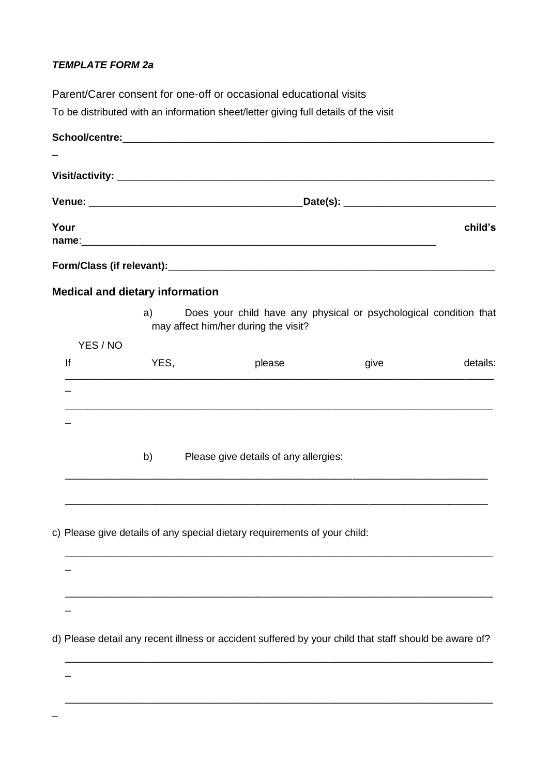# *TEMPLATE FORM 2a*

Parent/Carer consent for one-off or occasional educational visits To be distributed with an information sheet/letter giving full details of the visit School/centre: \_ **Visit/activity:** \_\_\_\_\_\_\_\_\_\_\_\_\_\_\_\_\_\_\_\_\_\_\_\_\_\_\_\_\_\_\_\_\_\_\_\_\_\_\_\_\_\_\_\_\_\_\_\_\_\_\_\_\_\_\_\_\_\_\_\_\_\_\_\_\_\_\_ **Venue:** \_\_\_\_\_\_\_\_\_\_\_\_\_\_\_\_\_\_\_\_\_\_\_\_\_\_\_\_\_\_\_\_\_\_\_\_\_\_**Date(s):** \_\_\_\_\_\_\_\_\_\_\_\_\_\_\_\_\_\_\_\_\_\_\_\_\_\_\_ **Your child's name**:\_\_\_\_\_\_\_\_\_\_\_\_\_\_\_\_\_\_\_\_\_\_\_\_\_\_\_\_\_\_\_\_\_\_\_\_\_\_\_\_\_\_\_\_\_\_\_\_\_\_\_\_\_\_\_\_\_\_\_\_\_\_\_ Form/Class (if relevant): **Medical and dietary information** a) Does your child have any physical or psychological condition that may affect him/her during the visit? YES / NO If The YES, the please give the details: \_\_\_\_\_\_\_\_\_\_\_\_\_\_\_\_\_\_\_\_\_\_\_\_\_\_\_\_\_\_\_\_\_\_\_\_\_\_\_\_\_\_\_\_\_\_\_\_\_\_\_\_\_\_\_\_\_\_\_\_\_\_\_\_\_\_\_\_\_\_\_\_\_\_\_\_  $\overline{a}$ \_\_\_\_\_\_\_\_\_\_\_\_\_\_\_\_\_\_\_\_\_\_\_\_\_\_\_\_\_\_\_\_\_\_\_\_\_\_\_\_\_\_\_\_\_\_\_\_\_\_\_\_\_\_\_\_\_\_\_\_\_\_\_\_\_\_\_\_\_\_\_\_\_\_\_\_ \_ b) Please give details of any allergies: \_\_\_\_\_\_\_\_\_\_\_\_\_\_\_\_\_\_\_\_\_\_\_\_\_\_\_\_\_\_\_\_\_\_\_\_\_\_\_\_\_\_\_\_\_\_\_\_\_\_\_\_\_\_\_\_\_\_\_\_\_\_\_\_\_\_\_\_\_\_\_\_\_\_\_ \_\_\_\_\_\_\_\_\_\_\_\_\_\_\_\_\_\_\_\_\_\_\_\_\_\_\_\_\_\_\_\_\_\_\_\_\_\_\_\_\_\_\_\_\_\_\_\_\_\_\_\_\_\_\_\_\_\_\_\_\_\_\_\_\_\_\_\_\_\_\_\_\_\_\_ c) Please give details of any special dietary requirements of your child: \_\_\_\_\_\_\_\_\_\_\_\_\_\_\_\_\_\_\_\_\_\_\_\_\_\_\_\_\_\_\_\_\_\_\_\_\_\_\_\_\_\_\_\_\_\_\_\_\_\_\_\_\_\_\_\_\_\_\_\_\_\_\_\_\_\_\_\_\_\_\_\_\_\_\_\_ \_ \_\_\_\_\_\_\_\_\_\_\_\_\_\_\_\_\_\_\_\_\_\_\_\_\_\_\_\_\_\_\_\_\_\_\_\_\_\_\_\_\_\_\_\_\_\_\_\_\_\_\_\_\_\_\_\_\_\_\_\_\_\_\_\_\_\_\_\_\_\_\_\_\_\_\_\_

\_

\_

\_

d) Please detail any recent illness or accident suffered by your child that staff should be aware of?

\_\_\_\_\_\_\_\_\_\_\_\_\_\_\_\_\_\_\_\_\_\_\_\_\_\_\_\_\_\_\_\_\_\_\_\_\_\_\_\_\_\_\_\_\_\_\_\_\_\_\_\_\_\_\_\_\_\_\_\_\_\_\_\_\_\_\_\_\_\_\_\_\_\_\_\_

\_\_\_\_\_\_\_\_\_\_\_\_\_\_\_\_\_\_\_\_\_\_\_\_\_\_\_\_\_\_\_\_\_\_\_\_\_\_\_\_\_\_\_\_\_\_\_\_\_\_\_\_\_\_\_\_\_\_\_\_\_\_\_\_\_\_\_\_\_\_\_\_\_\_\_\_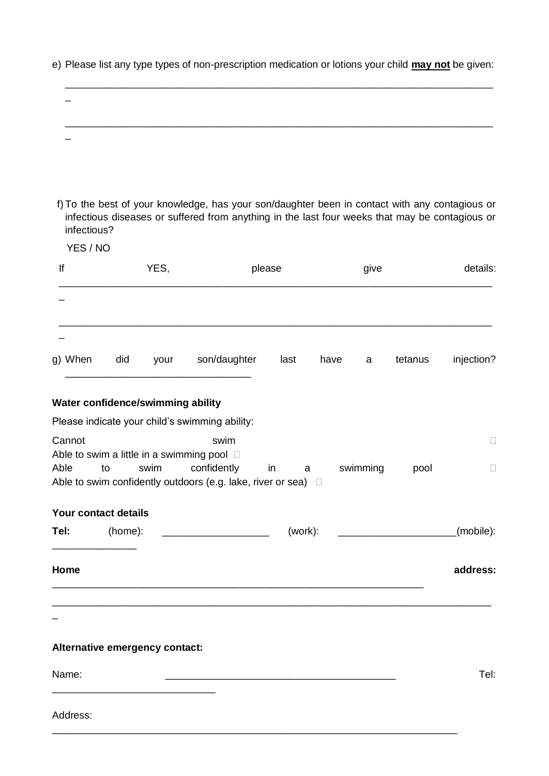| f) To the best of your knowledge, has your son/daughter been in contact with any contagious or                                       |                                  |           |                       |
|--------------------------------------------------------------------------------------------------------------------------------------|----------------------------------|-----------|-----------------------|
| infectious diseases or suffered from anything in the last four weeks that may be contagious or<br>infectious?                        |                                  |           |                       |
| YES / NO                                                                                                                             |                                  |           |                       |
| YES,<br>lf                                                                                                                           | please                           | give      | details:              |
|                                                                                                                                      |                                  |           |                       |
| g) When<br>did<br>your                                                                                                               | son/daughter<br>last             | have<br>a | injection?<br>tetanus |
| Water confidence/swimming ability                                                                                                    |                                  |           |                       |
| Please indicate your child's swimming ability:                                                                                       |                                  |           |                       |
| Cannot                                                                                                                               | swim                             |           | $\Box$                |
| Able to swim a little in a swimming pool $\Box$<br>Able<br>swim<br>to<br>Able to swim confidently outdoors (e.g. lake, river or sea) | confidently<br>in<br>a<br>$\Box$ | swimming  | pool<br>$\Box$        |
| Your contact details                                                                                                                 |                                  |           |                       |
| (home):<br>Tel:                                                                                                                      |                                  |           | (mobile):             |
| Home                                                                                                                                 |                                  |           | address:              |
|                                                                                                                                      |                                  |           |                       |
| Alternative emergency contact:                                                                                                       |                                  |           |                       |
| Name:                                                                                                                                |                                  |           | Tel:                  |
| Address:                                                                                                                             |                                  |           |                       |

\_\_\_\_\_\_\_\_\_\_\_\_\_\_\_\_\_\_\_\_\_\_\_\_\_\_\_\_\_\_\_\_\_\_\_\_\_\_\_\_\_\_\_\_\_\_\_\_\_\_\_\_\_\_\_\_\_\_\_\_\_\_\_\_\_\_\_\_\_\_\_\_

e) Please list any type types of non-prescription medication or lotions your child **may not** be given:

\_\_\_\_\_\_\_\_\_\_\_\_\_\_\_\_\_\_\_\_\_\_\_\_\_\_\_\_\_\_\_\_\_\_\_\_\_\_\_\_\_\_\_\_\_\_\_\_\_\_\_\_\_\_\_\_\_\_\_\_\_\_\_\_\_\_\_\_\_\_\_\_\_\_\_\_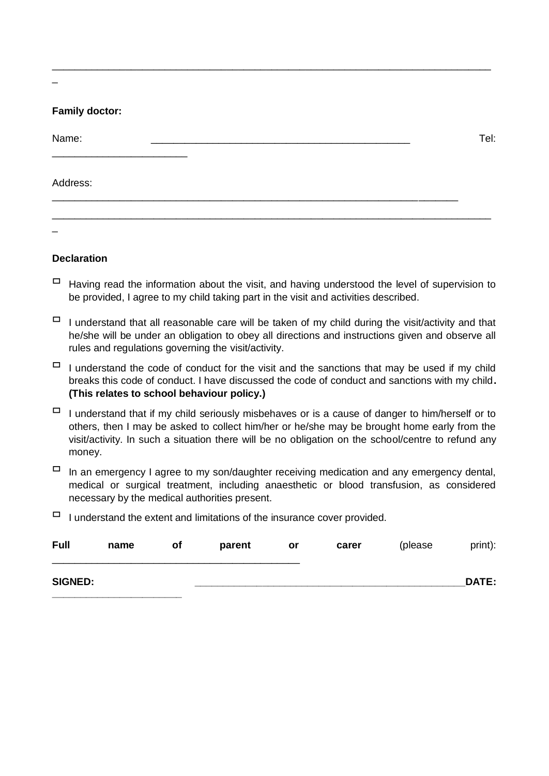### **Family doctor:**

| Name:    |  |  | Tel: |
|----------|--|--|------|
| Address: |  |  |      |
|          |  |  |      |

\_\_\_\_\_\_\_\_\_\_\_\_\_\_\_\_\_\_\_\_\_\_\_\_\_\_\_\_\_\_\_\_\_\_\_\_\_\_\_\_\_\_\_\_\_\_\_\_\_\_\_\_\_\_\_\_\_\_\_\_\_\_\_\_\_\_\_\_\_\_\_\_\_\_\_\_\_\_

\_

#### **Declaration**

- $\Box$  Having read the information about the visit, and having understood the level of supervision to be provided, I agree to my child taking part in the visit and activities described.
- $\Box$  I understand that all reasonable care will be taken of my child during the visit/activity and that he/she will be under an obligation to obey all directions and instructions given and observe all rules and regulations governing the visit/activity.
- $\Box$  I understand the code of conduct for the visit and the sanctions that may be used if my child breaks this code of conduct. I have discussed the code of conduct and sanctions with my child**. (This relates to school behaviour policy.)**
- $\Box$  I understand that if my child seriously misbehaves or is a cause of danger to him/herself or to others, then I may be asked to collect him/her or he/she may be brought home early from the visit/activity. In such a situation there will be no obligation on the school/centre to refund any money.
- $\Box$  In an emergency I agree to my son/daughter receiving medication and any emergency dental, medical or surgical treatment, including anaesthetic or blood transfusion, as considered necessary by the medical authorities present.
- $\Box$  I understand the extent and limitations of the insurance cover provided.

| <b>Full</b>    | name | οf | parent | or | carer | (please) | print):      |
|----------------|------|----|--------|----|-------|----------|--------------|
| <b>SIGNED:</b> |      |    |        |    |       |          | <b>DATE:</b> |

\_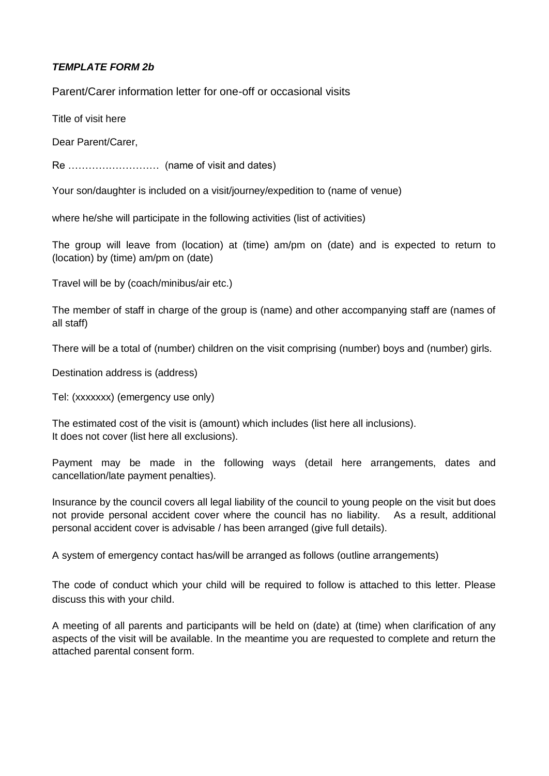# *TEMPLATE FORM 2b*

Parent/Carer information letter for one-off or occasional visits

Title of visit here

Dear Parent/Carer,

Re ……………………… (name of visit and dates)

Your son/daughter is included on a visit/journey/expedition to (name of venue)

where he/she will participate in the following activities (list of activities)

The group will leave from (location) at (time) am/pm on (date) and is expected to return to (location) by (time) am/pm on (date)

Travel will be by (coach/minibus/air etc.)

The member of staff in charge of the group is (name) and other accompanying staff are (names of all staff)

There will be a total of (number) children on the visit comprising (number) boys and (number) girls.

Destination address is (address)

Tel: (xxxxxxx) (emergency use only)

The estimated cost of the visit is (amount) which includes (list here all inclusions). It does not cover (list here all exclusions).

Payment may be made in the following ways (detail here arrangements, dates and cancellation/late payment penalties).

Insurance by the council covers all legal liability of the council to young people on the visit but does not provide personal accident cover where the council has no liability. As a result, additional personal accident cover is advisable / has been arranged (give full details).

A system of emergency contact has/will be arranged as follows (outline arrangements)

The code of conduct which your child will be required to follow is attached to this letter. Please discuss this with your child.

A meeting of all parents and participants will be held on (date) at (time) when clarification of any aspects of the visit will be available. In the meantime you are requested to complete and return the attached parental consent form.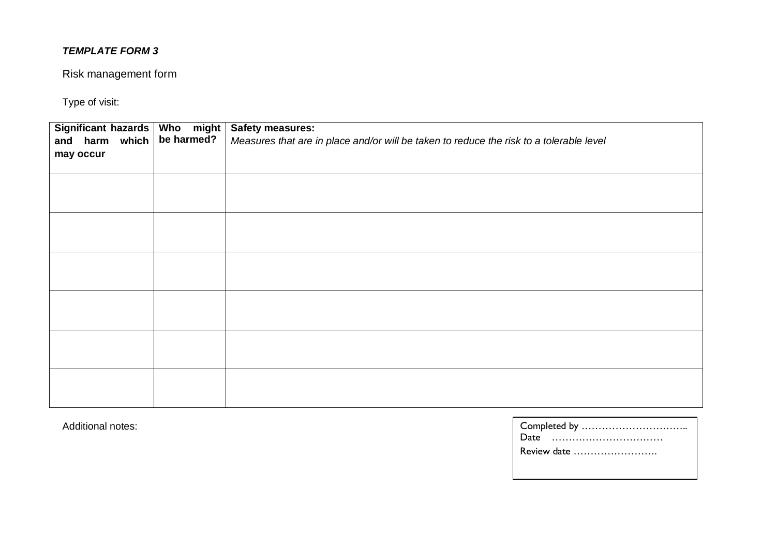# Risk management form

Type of visit:

| Significant hazards   Who might<br>and harm which $\vert$ be harmed?<br>may occur | <b>Safety measures:</b><br>Measures that are in place and/or will be taken to reduce the risk to a tolerable level |
|-----------------------------------------------------------------------------------|--------------------------------------------------------------------------------------------------------------------|
|                                                                                   |                                                                                                                    |
|                                                                                   |                                                                                                                    |
|                                                                                   |                                                                                                                    |
|                                                                                   |                                                                                                                    |
|                                                                                   |                                                                                                                    |
|                                                                                   |                                                                                                                    |

Additional notes:

| Review date |
|-------------|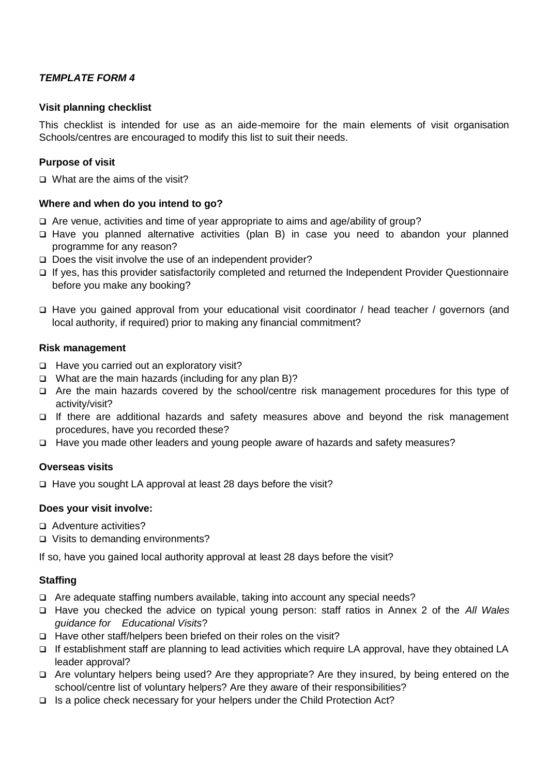#### **Visit planning checklist**

This checklist is intended for use as an aide-memoire for the main elements of visit organisation Schools/centres are encouraged to modify this list to suit their needs.

#### **Purpose of visit**

□ What are the aims of the visit?

### **Where and when do you intend to go?**

- Are venue, activities and time of year appropriate to aims and age/ability of group?
- Have you planned alternative activities (plan B) in case you need to abandon your planned programme for any reason?
- Does the visit involve the use of an independent provider?
- □ If yes, has this provider satisfactorily completed and returned the Independent Provider Questionnaire before you make any booking?
- Have you gained approval from your educational visit coordinator / head teacher / governors (and local authority, if required) prior to making any financial commitment?

### **Risk management**

- □ Have you carried out an exploratory visit?
- $\Box$  What are the main hazards (including for any plan B)?
- $\Box$  Are the main hazards covered by the school/centre risk management procedures for this type of activity/visit?
- If there are additional hazards and safety measures above and beyond the risk management procedures, have you recorded these?
- Have you made other leaders and young people aware of hazards and safety measures?

#### **Overseas visits**

□ Have you sought LA approval at least 28 days before the visit?

# **Does your visit involve:**

- Adventure activities?
- □ Visits to demanding environments?

If so, have you gained local authority approval at least 28 days before the visit?

# **Staffing**

- Are adequate staffing numbers available, taking into account any special needs?
- Have you checked the advice on typical young person: staff ratios in Annex 2 of the *All Wales guidance for Educational Visits*?
- $\Box$  Have other staff/helpers been briefed on their roles on the visit?
- □ If establishment staff are planning to lead activities which require LA approval, have they obtained LA leader approval?
- Are voluntary helpers being used? Are they appropriate? Are they insured, by being entered on the school/centre list of voluntary helpers? Are they aware of their responsibilities?
- $\Box$  Is a police check necessary for your helpers under the Child Protection Act?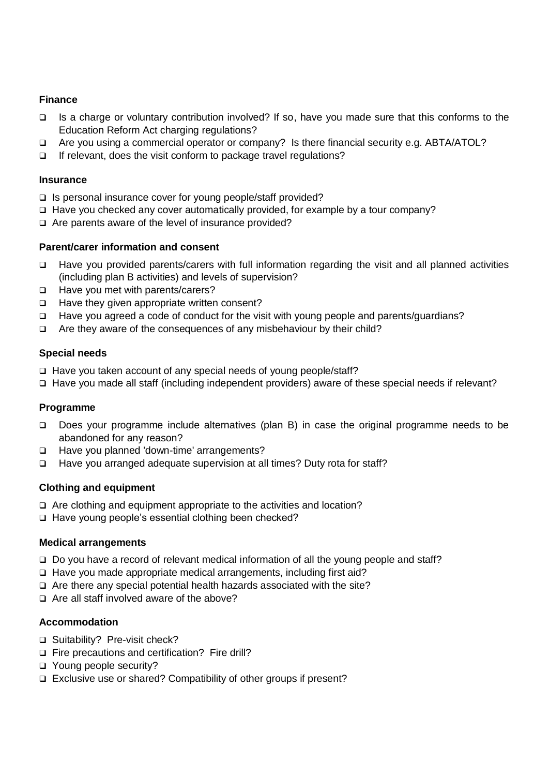### **Finance**

- □ Is a charge or voluntary contribution involved? If so, have you made sure that this conforms to the Education Reform Act charging regulations?
- □ Are you using a commercial operator or company? Is there financial security e.g. ABTA/ATOL?
- $\Box$  If relevant, does the visit conform to package travel regulations?

#### **Insurance**

- $\Box$  Is personal insurance cover for young people/staff provided?
- $\Box$  Have you checked any cover automatically provided, for example by a tour company?
- $\Box$  Are parents aware of the level of insurance provided?

#### **Parent/carer information and consent**

- □ Have you provided parents/carers with full information regarding the visit and all planned activities (including plan B activities) and levels of supervision?
- □ Have you met with parents/carers?
- $\Box$  Have they given appropriate written consent?
- Have you agreed a code of conduct for the visit with young people and parents/guardians?
- $\Box$  Are they aware of the consequences of any misbehaviour by their child?

### **Special needs**

- $\Box$  Have you taken account of any special needs of young people/staff?
- □ Have you made all staff (including independent providers) aware of these special needs if relevant?

#### **Programme**

- □ Does your programme include alternatives (plan B) in case the original programme needs to be abandoned for any reason?
- □ Have you planned 'down-time' arrangements?
- □ Have you arranged adequate supervision at all times? Duty rota for staff?

#### **Clothing and equipment**

- □ Are clothing and equipment appropriate to the activities and location?
- □ Have young people's essential clothing been checked?

#### **Medical arrangements**

- Do you have a record of relevant medical information of all the young people and staff?
- □ Have you made appropriate medical arrangements, including first aid?
- $\Box$  Are there any special potential health hazards associated with the site?
- $\Box$  Are all staff involved aware of the above?

# **Accommodation**

- □ Suitability? Pre-visit check?
- Fire precautions and certification? Fire drill?
- Young people security?
- □ Exclusive use or shared? Compatibility of other groups if present?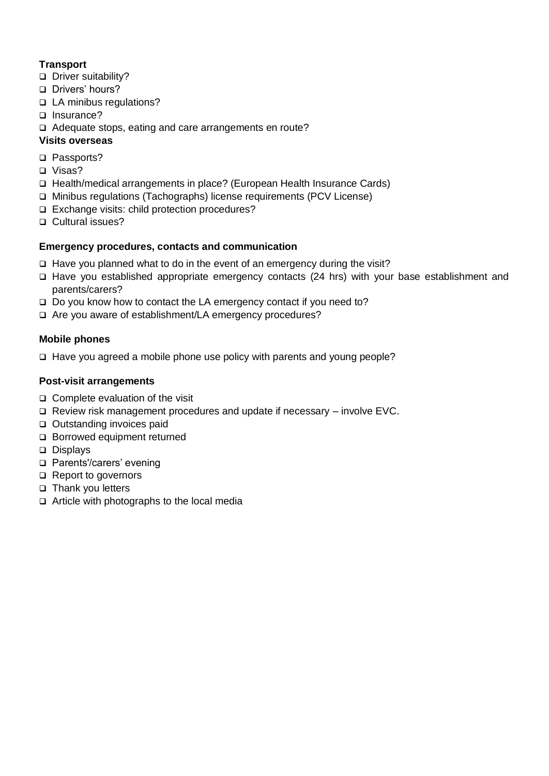# **Transport**

- □ Driver suitability?
- □ Drivers' hours?
- □ LA minibus regulations?
- □ Insurance?
- □ Adequate stops, eating and care arrangements en route?

# **Visits overseas**

- □ Passports?
- □ Visas?
- □ Health/medical arrangements in place? (European Health Insurance Cards)
- Minibus regulations (Tachographs) license requirements (PCV License)
- □ Exchange visits: child protection procedures?
- □ Cultural issues?

# **Emergency procedures, contacts and communication**

- $\Box$  Have you planned what to do in the event of an emergency during the visit?
- □ Have you established appropriate emergency contacts (24 hrs) with your base establishment and parents/carers?
- $\Box$  Do you know how to contact the LA emergency contact if you need to?
- □ Are you aware of establishment/LA emergency procedures?

# **Mobile phones**

 $\Box$  Have you agreed a mobile phone use policy with parents and young people?

# **Post-visit arrangements**

- $\Box$  Complete evaluation of the visit
- $\Box$  Review risk management procedures and update if necessary involve EVC.
- □ Outstanding invoices paid
- □ Borrowed equipment returned
- Displays
- □ Parents'/carers' evening
- □ Report to governors
- □ Thank you letters
- $\Box$  Article with photographs to the local media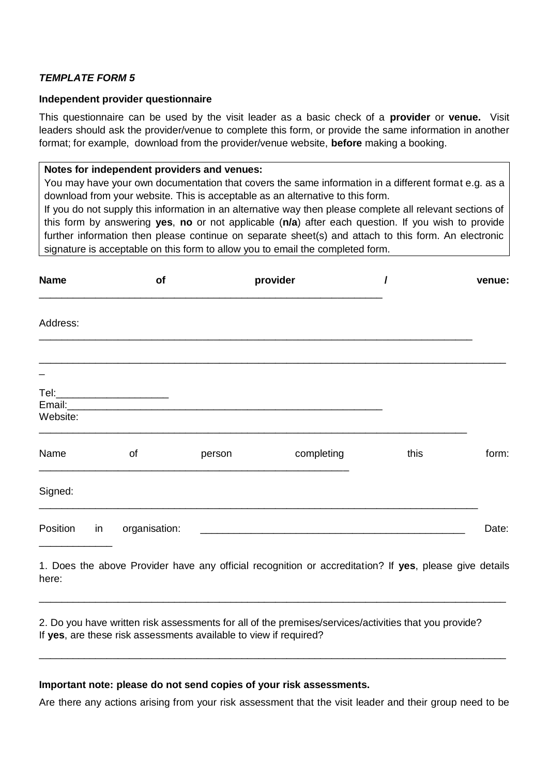#### **Independent provider questionnaire**

This questionnaire can be used by the visit leader as a basic check of a **provider** or **venue.** Visit leaders should ask the provider/venue to complete this form, or provide the same information in another format; for example, download from the provider/venue website, **before** making a booking.

#### **Notes for independent providers and venues:**

You may have your own documentation that covers the same information in a different format e.g. as a download from your website. This is acceptable as an alternative to this form.

If you do not supply this information in an alternative way then please complete all relevant sections of this form by answering **yes**, **no** or not applicable (**n/a**) after each question. If you wish to provide further information then please continue on separate sheet(s) and attach to this form. An electronic signature is acceptable on this form to allow you to email the completed form.

| <b>Name</b> | of                              |        | provider                                                                                               |      | venue: |
|-------------|---------------------------------|--------|--------------------------------------------------------------------------------------------------------|------|--------|
| Address:    |                                 |        |                                                                                                        |      |        |
|             |                                 |        |                                                                                                        |      |        |
| Website:    | Tel:___________________________ |        |                                                                                                        |      |        |
| Name        | of                              | person | completing                                                                                             | this | form:  |
| Signed:     |                                 |        |                                                                                                        |      |        |
| Position in | organisation:                   |        | <u> 1980 - Johann Stoff, fransk politik (d. 1980)</u>                                                  |      | Date:  |
|             |                                 |        | 1. Does the above Provider have any official recognition or accreditation? If yes, please give details |      |        |

here: \_\_\_\_\_\_\_\_\_\_\_\_\_\_\_\_\_\_\_\_\_\_\_\_\_\_\_\_\_\_\_\_\_\_\_\_\_\_\_\_\_\_\_\_\_\_\_\_\_\_\_\_\_\_\_\_\_\_\_\_\_\_\_\_\_\_\_\_\_\_\_\_\_\_\_\_\_\_\_\_\_\_\_

2. Do you have written risk assessments for all of the premises/services/activities that you provide? If **yes**, are these risk assessments available to view if required?

#### **Important note: please do not send copies of your risk assessments.**

Are there any actions arising from your risk assessment that the visit leader and their group need to be

\_\_\_\_\_\_\_\_\_\_\_\_\_\_\_\_\_\_\_\_\_\_\_\_\_\_\_\_\_\_\_\_\_\_\_\_\_\_\_\_\_\_\_\_\_\_\_\_\_\_\_\_\_\_\_\_\_\_\_\_\_\_\_\_\_\_\_\_\_\_\_\_\_\_\_\_\_\_\_\_\_\_\_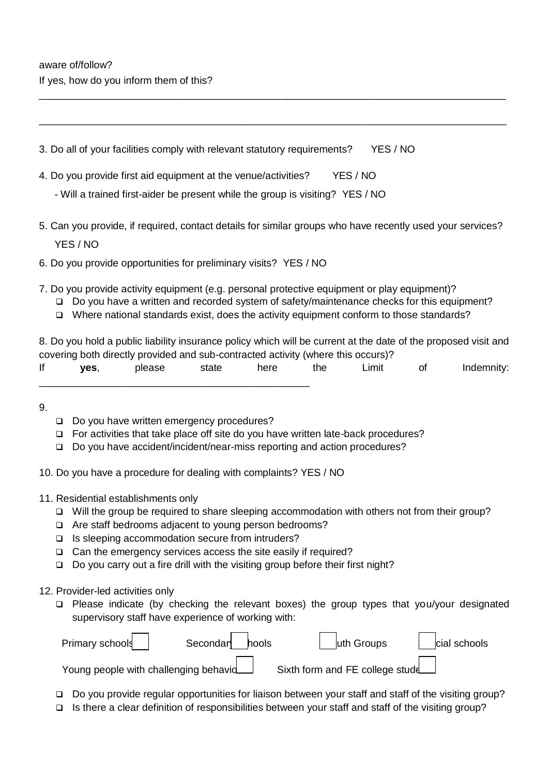3. Do all of your facilities comply with relevant statutory requirements? YES / NO

- 4. Do you provide first aid equipment at the venue/activities? YES / NO
	- Will a trained first-aider be present while the group is visiting? YES / NO
- 5. Can you provide, if required, contact details for similar groups who have recently used your services? YES / NO

\_\_\_\_\_\_\_\_\_\_\_\_\_\_\_\_\_\_\_\_\_\_\_\_\_\_\_\_\_\_\_\_\_\_\_\_\_\_\_\_\_\_\_\_\_\_\_\_\_\_\_\_\_\_\_\_\_\_\_\_\_\_\_\_\_\_\_\_\_\_\_\_\_\_\_\_\_\_\_\_\_\_\_

\_\_\_\_\_\_\_\_\_\_\_\_\_\_\_\_\_\_\_\_\_\_\_\_\_\_\_\_\_\_\_\_\_\_\_\_\_\_\_\_\_\_\_\_\_\_\_\_\_\_\_\_\_\_\_\_\_\_\_\_\_\_\_\_\_\_\_\_\_\_\_\_\_\_\_\_\_\_\_\_\_\_\_

- 6. Do you provide opportunities for preliminary visits? YES / NO
- 7. Do you provide activity equipment (e.g. personal protective equipment or play equipment)?
	- Do you have a written and recorded system of safety/maintenance checks for this equipment?
	- $\Box$  Where national standards exist, does the activity equipment conform to those standards?

8. Do you hold a public liability insurance policy which will be current at the date of the proposed visit and covering both directly provided and sub-contracted activity (where this occurs)? If **yes**, please state here the Limit of Indemnity:

- 9.
- Do you have written emergency procedures?

\_\_\_\_\_\_\_\_\_\_\_\_\_\_\_\_\_\_\_\_\_\_\_\_\_\_\_\_\_\_\_\_\_\_\_\_\_\_\_\_\_\_\_\_\_\_\_\_

- $\Box$  For activities that take place off site do you have written late-back procedures?
- □ Do you have accident/incident/near-miss reporting and action procedures?
- 10. Do you have a procedure for dealing with complaints? YES / NO
- 11. Residential establishments only
	- $\Box$  Will the group be required to share sleeping accommodation with others not from their group?
	- □ Are staff bedrooms adjacent to young person bedrooms?
	- $\Box$  Is sleeping accommodation secure from intruders?
	- □ Can the emergency services access the site easily if required?
	- □ Do you carry out a fire drill with the visiting group before their first night?
- 12. Provider-led activities only
	- $\Box$  Please indicate (by checking the relevant boxes) the group types that you/your designated supervisory staff have experience of working with:

| Primary schools                       | Secondar hools | uth Groups                      | cial schools |
|---------------------------------------|----------------|---------------------------------|--------------|
| Young people with challenging behavid |                | Sixth form and FE college stude |              |

- Do you provide regular opportunities for liaison between your staff and staff of the visiting group?
- $\Box$  Is there a clear definition of responsibilities between your staff and staff of the visiting group?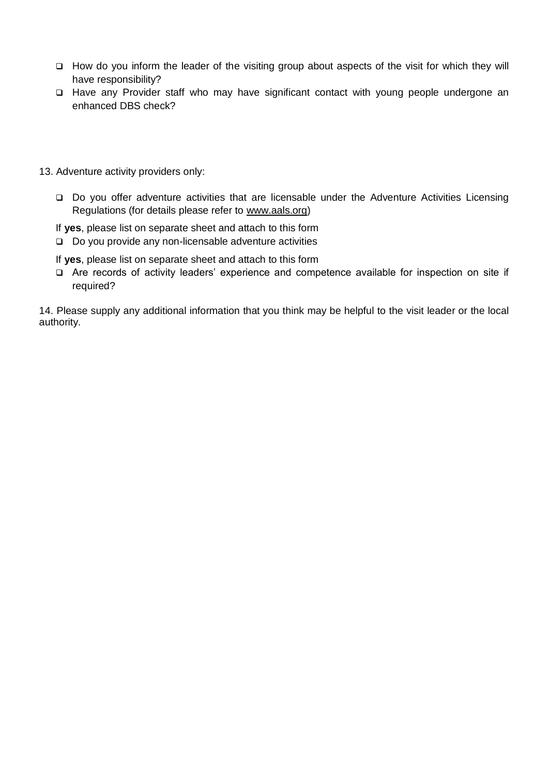- $\Box$  How do you inform the leader of the visiting group about aspects of the visit for which they will have responsibility?
- □ Have any Provider staff who may have significant contact with young people undergone an enhanced DBS check?
- 13. Adventure activity providers only:
	- □ Do you offer adventure activities that are licensable under the Adventure Activities Licensing Regulations (for details please refer to [www.aals.org\)](http://www.aals.org/)
	- If **yes**, please list on separate sheet and attach to this form
	- □ Do you provide any non-licensable adventure activities

If **yes**, please list on separate sheet and attach to this form

 Are records of activity leaders' experience and competence available for inspection on site if required?

14. Please supply any additional information that you think may be helpful to the visit leader or the local authority.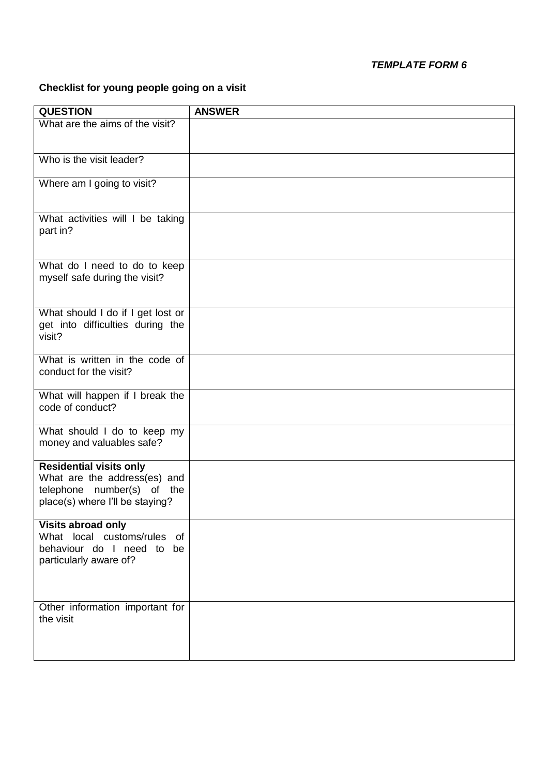# **Checklist for young people going on a visit**

| <b>QUESTION</b>                              | <b>ANSWER</b> |
|----------------------------------------------|---------------|
| What are the aims of the visit?              |               |
|                                              |               |
| Who is the visit leader?                     |               |
|                                              |               |
| Where am I going to visit?                   |               |
|                                              |               |
| What activities will I be taking             |               |
| part in?                                     |               |
|                                              |               |
| What do I need to do to keep                 |               |
| myself safe during the visit?                |               |
|                                              |               |
| What should I do if I get lost or            |               |
| get into difficulties during the             |               |
| visit?                                       |               |
| What is written in the code of               |               |
| conduct for the visit?                       |               |
|                                              |               |
| What will happen if I break the              |               |
| code of conduct?                             |               |
| What should I do to keep my                  |               |
| money and valuables safe?                    |               |
| <b>Residential visits only</b>               |               |
| What are the address(es) and                 |               |
| telephone number(s) of the                   |               |
| place(s) where I'll be staying?              |               |
| <b>Visits abroad only</b>                    |               |
| What local customs/rules of                  |               |
| behaviour do I need to be                    |               |
| particularly aware of?                       |               |
|                                              |               |
|                                              |               |
| Other information important for<br>the visit |               |
|                                              |               |
|                                              |               |
|                                              |               |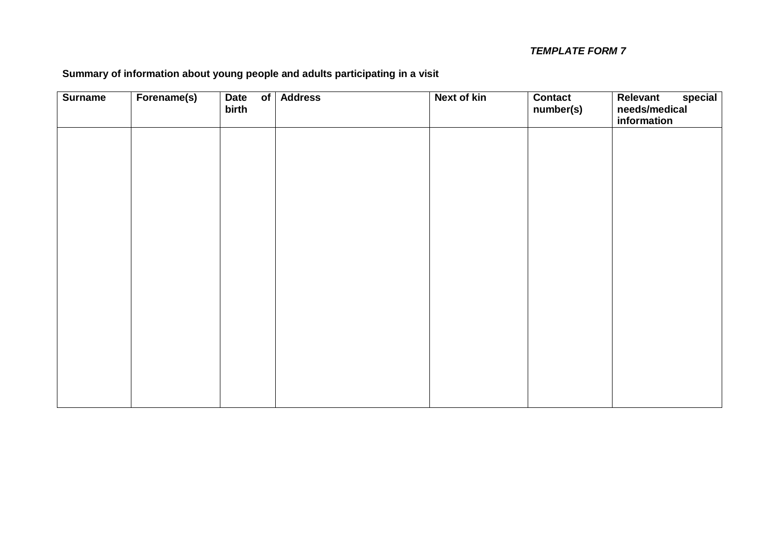# **Summary of information about young people and adults participating in a visit**

| <b>Surname</b> | Forename(s) | <b>Date</b><br>$\overline{\mathsf{of}}$<br>birth | <b>Address</b> | <b>Next of kin</b> | <b>Contact</b><br>number(s) | special<br>Relevant<br>needs/medical<br>information |
|----------------|-------------|--------------------------------------------------|----------------|--------------------|-----------------------------|-----------------------------------------------------|
|                |             |                                                  |                |                    |                             |                                                     |
|                |             |                                                  |                |                    |                             |                                                     |
|                |             |                                                  |                |                    |                             |                                                     |
|                |             |                                                  |                |                    |                             |                                                     |
|                |             |                                                  |                |                    |                             |                                                     |
|                |             |                                                  |                |                    |                             |                                                     |
|                |             |                                                  |                |                    |                             |                                                     |
|                |             |                                                  |                |                    |                             |                                                     |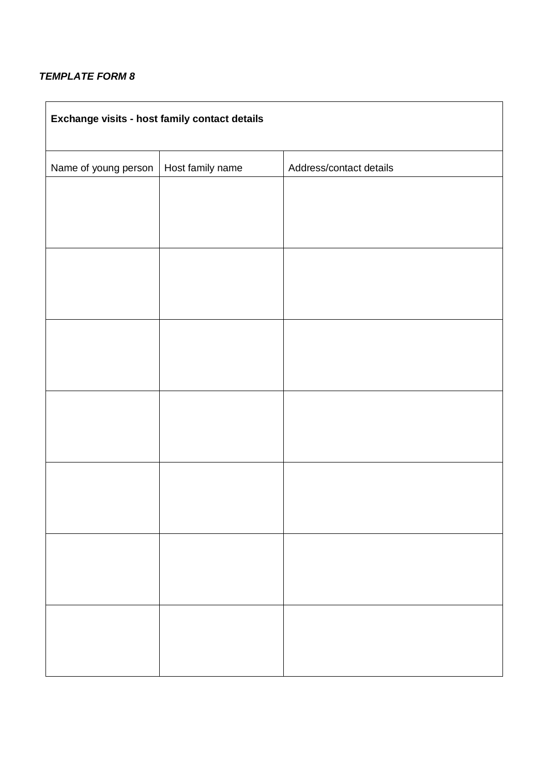| Exchange visits - host family contact details |                  |                         |  |  |  |  |
|-----------------------------------------------|------------------|-------------------------|--|--|--|--|
| Name of young person                          | Host family name | Address/contact details |  |  |  |  |
|                                               |                  |                         |  |  |  |  |
|                                               |                  |                         |  |  |  |  |
|                                               |                  |                         |  |  |  |  |
|                                               |                  |                         |  |  |  |  |
|                                               |                  |                         |  |  |  |  |
|                                               |                  |                         |  |  |  |  |
|                                               |                  |                         |  |  |  |  |
|                                               |                  |                         |  |  |  |  |
|                                               |                  |                         |  |  |  |  |
|                                               |                  |                         |  |  |  |  |
|                                               |                  |                         |  |  |  |  |
|                                               |                  |                         |  |  |  |  |
|                                               |                  |                         |  |  |  |  |
|                                               |                  |                         |  |  |  |  |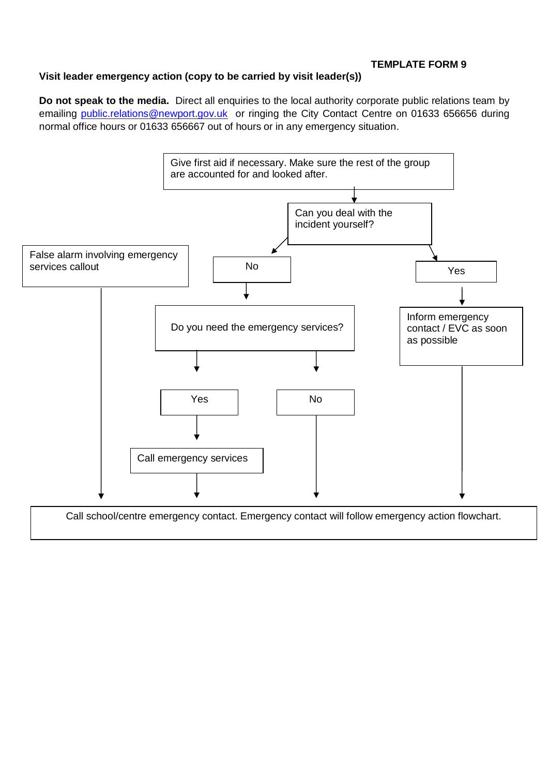# **Visit leader emergency action (copy to be carried by visit leader(s))**

**Do not speak to the media.** Direct all enquiries to the local authority corporate public relations team by emailing [public.relations@newport.gov.uk](mailto:public.relations@newport.gov.uk) or ringing the City Contact Centre on 01633 656656 during normal office hours or 01633 656667 out of hours or in any emergency situation.

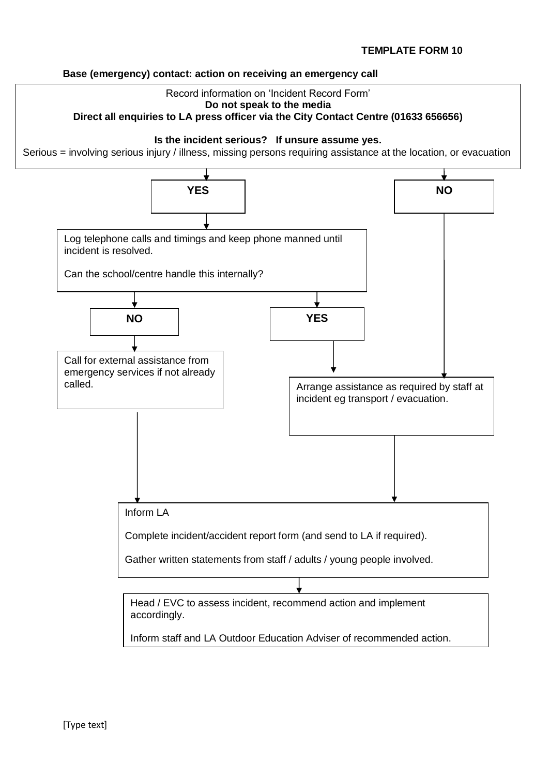### **Base (emergency) contact: action on receiving an emergency call**

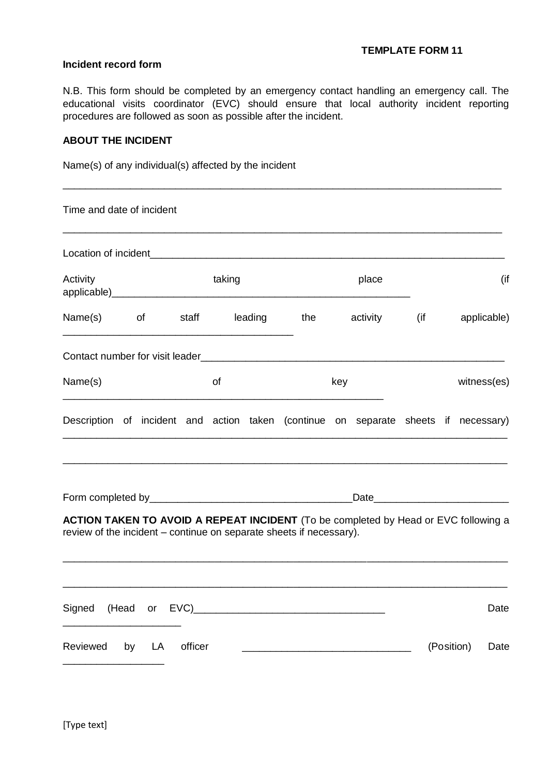#### **Incident record form**

N.B. This form should be completed by an emergency contact handling an emergency call. The educational visits coordinator (EVC) should ensure that local authority incident reporting procedures are followed as soon as possible after the incident.

\_\_\_\_\_\_\_\_\_\_\_\_\_\_\_\_\_\_\_\_\_\_\_\_\_\_\_\_\_\_\_\_\_\_\_\_\_\_\_\_\_\_\_\_\_\_\_\_\_\_\_\_\_\_\_\_\_\_\_\_\_\_\_\_\_\_\_\_\_\_\_\_\_\_\_\_\_\_

### **ABOUT THE INCIDENT**

Name(s) of any individual(s) affected by the incident

| Time and date of incident                                                                                                                                         |           |  |        |  |                   |  |              |  |            |             |
|-------------------------------------------------------------------------------------------------------------------------------------------------------------------|-----------|--|--------|--|-------------------|--|--------------|--|------------|-------------|
|                                                                                                                                                                   |           |  |        |  |                   |  |              |  |            |             |
| Activity                                                                                                                                                          |           |  | taking |  |                   |  | place        |  |            | (if         |
| Name(s) of                                                                                                                                                        |           |  |        |  | staff leading the |  | activity (if |  |            | applicable) |
|                                                                                                                                                                   |           |  |        |  |                   |  |              |  |            |             |
| Name(s)                                                                                                                                                           | of<br>key |  |        |  |                   |  | witness(es)  |  |            |             |
| Description of incident and action taken (continue on separate sheets if necessary)                                                                               |           |  |        |  |                   |  |              |  |            |             |
|                                                                                                                                                                   |           |  |        |  |                   |  |              |  |            |             |
| <b>ACTION TAKEN TO AVOID A REPEAT INCIDENT</b> (To be completed by Head or EVC following a<br>review of the incident – continue on separate sheets if necessary). |           |  |        |  |                   |  |              |  |            |             |
|                                                                                                                                                                   |           |  |        |  |                   |  |              |  |            | Date        |
| Reviewed by LA officer                                                                                                                                            |           |  |        |  |                   |  |              |  | (Position) | Date        |
|                                                                                                                                                                   |           |  |        |  |                   |  |              |  |            |             |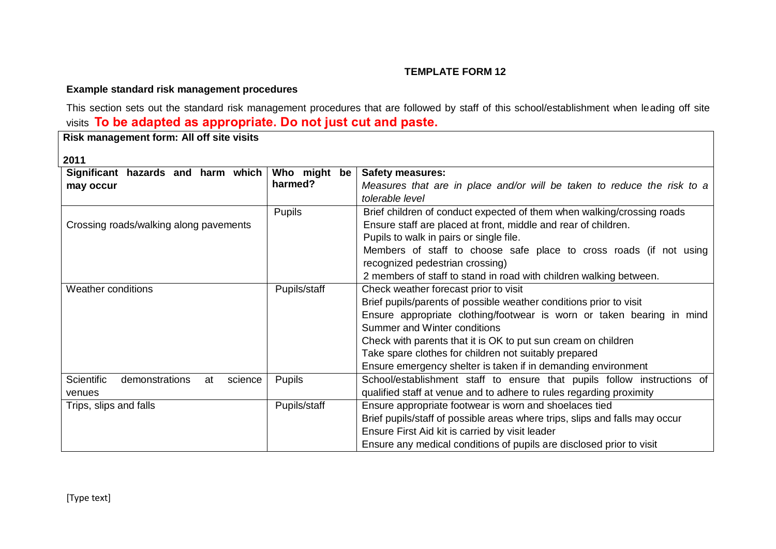# **Example standard risk management procedures**

This section sets out the standard risk management procedures that are followed by staff of this school/establishment when leading off site visits **To be adapted as appropriate. Do not just cut and paste.**

**Risk management form: All off site visits** 

# **2011**

| 4 J J J<br>Significant hazards and harm which | Who might<br>be | <b>Safety measures:</b>                                                     |
|-----------------------------------------------|-----------------|-----------------------------------------------------------------------------|
| may occur                                     | harmed?         | Measures that are in place and/or will be taken to reduce the risk to a     |
|                                               |                 | tolerable level                                                             |
|                                               | <b>Pupils</b>   | Brief children of conduct expected of them when walking/crossing roads      |
| Crossing roads/walking along pavements        |                 | Ensure staff are placed at front, middle and rear of children.              |
|                                               |                 | Pupils to walk in pairs or single file.                                     |
|                                               |                 | Members of staff to choose safe place to cross roads (if not using          |
|                                               |                 | recognized pedestrian crossing)                                             |
|                                               |                 | 2 members of staff to stand in road with children walking between.          |
| Weather conditions                            | Pupils/staff    | Check weather forecast prior to visit                                       |
|                                               |                 | Brief pupils/parents of possible weather conditions prior to visit          |
|                                               |                 | Ensure appropriate clothing/footwear is worn or taken bearing in mind       |
|                                               |                 | Summer and Winter conditions                                                |
|                                               |                 | Check with parents that it is OK to put sun cream on children               |
|                                               |                 | Take spare clothes for children not suitably prepared                       |
|                                               |                 | Ensure emergency shelter is taken if in demanding environment               |
| Scientific<br>demonstrations<br>science<br>at | <b>Pupils</b>   | School/establishment staff to ensure that pupils follow instructions of     |
| venues                                        |                 | qualified staff at venue and to adhere to rules regarding proximity         |
| Trips, slips and falls                        | Pupils/staff    | Ensure appropriate footwear is worn and shoelaces tied                      |
|                                               |                 | Brief pupils/staff of possible areas where trips, slips and falls may occur |
|                                               |                 | Ensure First Aid kit is carried by visit leader                             |
|                                               |                 | Ensure any medical conditions of pupils are disclosed prior to visit        |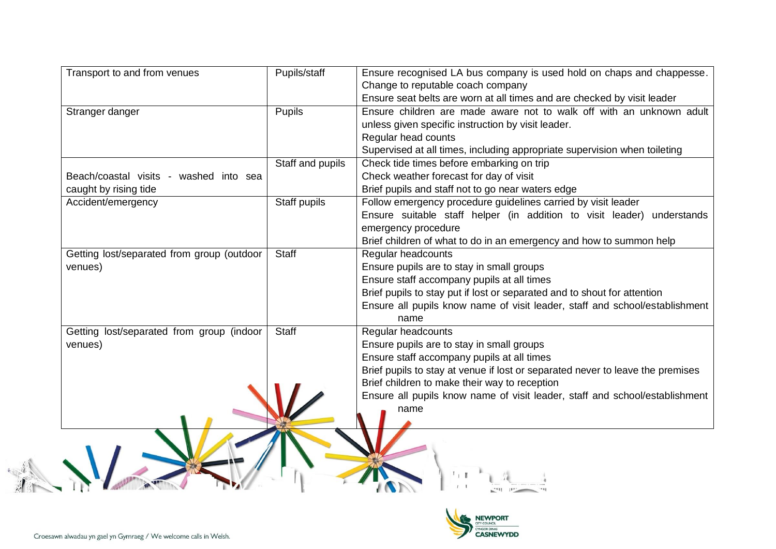| Transport to and from venues               | Pupils/staff     | Ensure recognised LA bus company is used hold on chaps and chappesse.          |
|--------------------------------------------|------------------|--------------------------------------------------------------------------------|
|                                            |                  | Change to reputable coach company                                              |
|                                            |                  | Ensure seat belts are worn at all times and are checked by visit leader        |
| Stranger danger                            | <b>Pupils</b>    | Ensure children are made aware not to walk off with an unknown adult           |
|                                            |                  | unless given specific instruction by visit leader.                             |
|                                            |                  | Regular head counts                                                            |
|                                            |                  | Supervised at all times, including appropriate supervision when toileting      |
|                                            | Staff and pupils | Check tide times before embarking on trip                                      |
| Beach/coastal visits - washed into sea     |                  | Check weather forecast for day of visit                                        |
| caught by rising tide                      |                  | Brief pupils and staff not to go near waters edge                              |
| Accident/emergency                         | Staff pupils     | Follow emergency procedure guidelines carried by visit leader                  |
|                                            |                  | Ensure suitable staff helper (in addition to visit leader) understands         |
|                                            |                  | emergency procedure                                                            |
|                                            |                  | Brief children of what to do in an emergency and how to summon help            |
| Getting lost/separated from group (outdoor | Staff            | Regular headcounts                                                             |
| venues)                                    |                  | Ensure pupils are to stay in small groups                                      |
|                                            |                  | Ensure staff accompany pupils at all times                                     |
|                                            |                  | Brief pupils to stay put if lost or separated and to shout for attention       |
|                                            |                  | Ensure all pupils know name of visit leader, staff and school/establishment    |
|                                            |                  | name                                                                           |
| Getting lost/separated from group (indoor  | <b>Staff</b>     | Regular headcounts                                                             |
| venues)                                    |                  | Ensure pupils are to stay in small groups                                      |
|                                            |                  | Ensure staff accompany pupils at all times                                     |
|                                            |                  | Brief pupils to stay at venue if lost or separated never to leave the premises |
|                                            |                  | Brief children to make their way to reception                                  |
|                                            |                  | Ensure all pupils know name of visit leader, staff and school/establishment    |
|                                            |                  | name                                                                           |
|                                            |                  |                                                                                |
|                                            |                  |                                                                                |
|                                            |                  |                                                                                |
|                                            |                  |                                                                                |
|                                            |                  |                                                                                |
|                                            |                  |                                                                                |
|                                            |                  |                                                                                |

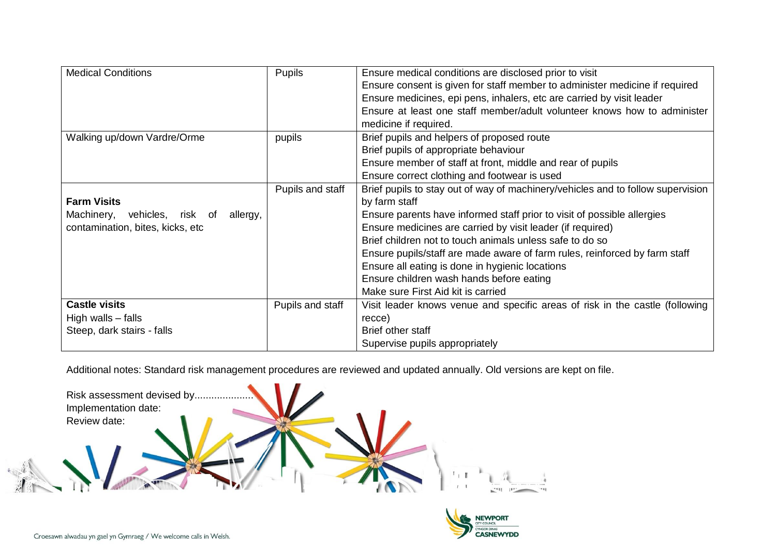| <b>Medical Conditions</b>             | Pupils           | Ensure medical conditions are disclosed prior to visit                          |
|---------------------------------------|------------------|---------------------------------------------------------------------------------|
|                                       |                  | Ensure consent is given for staff member to administer medicine if required     |
|                                       |                  | Ensure medicines, epi pens, inhalers, etc are carried by visit leader           |
|                                       |                  | Ensure at least one staff member/adult volunteer knows how to administer        |
|                                       |                  | medicine if required.                                                           |
| Walking up/down Vardre/Orme           | pupils           | Brief pupils and helpers of proposed route                                      |
|                                       |                  | Brief pupils of appropriate behaviour                                           |
|                                       |                  | Ensure member of staff at front, middle and rear of pupils                      |
|                                       |                  | Ensure correct clothing and footwear is used                                    |
|                                       | Pupils and staff | Brief pupils to stay out of way of machinery/vehicles and to follow supervision |
| <b>Farm Visits</b>                    |                  | by farm staff                                                                   |
| Machinery, vehicles, risk of allergy, |                  | Ensure parents have informed staff prior to visit of possible allergies         |
| contamination, bites, kicks, etc      |                  | Ensure medicines are carried by visit leader (if required)                      |
|                                       |                  | Brief children not to touch animals unless safe to do so                        |
|                                       |                  | Ensure pupils/staff are made aware of farm rules, reinforced by farm staff      |
|                                       |                  | Ensure all eating is done in hygienic locations                                 |
|                                       |                  | Ensure children wash hands before eating                                        |
|                                       |                  | Make sure First Aid kit is carried                                              |
| <b>Castle visits</b>                  | Pupils and staff | Visit leader knows venue and specific areas of risk in the castle (following    |
| High walls - falls                    |                  | recce)                                                                          |
| Steep, dark stairs - falls            |                  | Brief other staff                                                               |
|                                       |                  | Supervise pupils appropriately                                                  |

Additional notes: Standard risk management procedures are reviewed and updated annually. Old versions are kept on file.